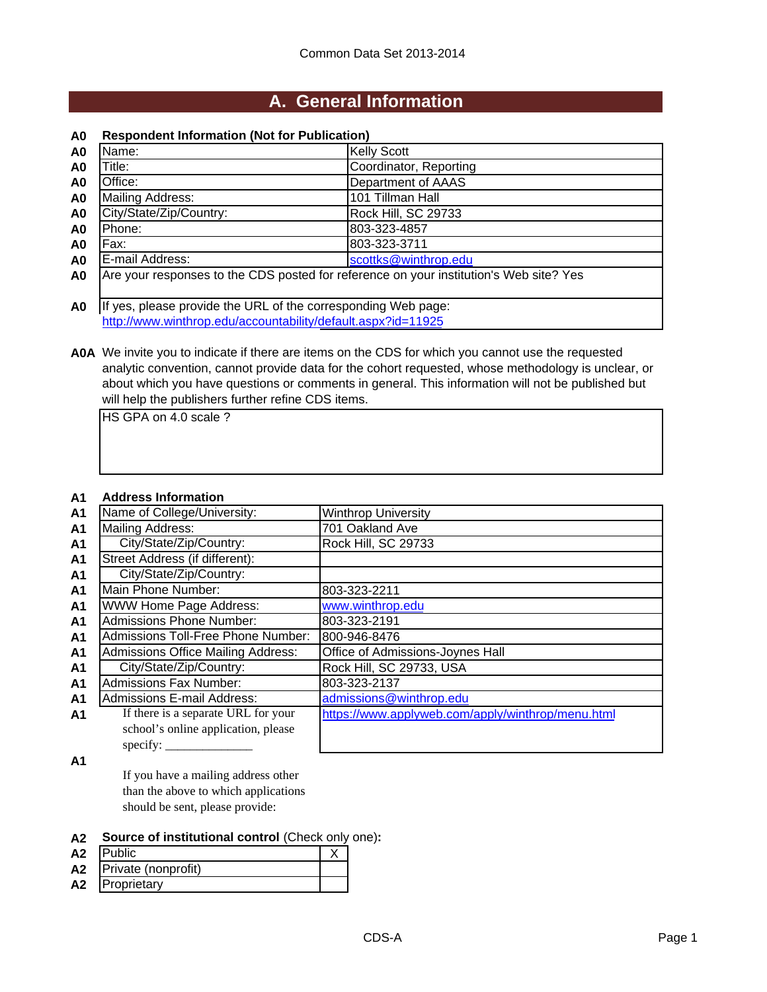### **A. General Information**

#### **A0 Respondent Information (Not for Publication)**

| A <sub>0</sub> | Name:                                                                                  | <b>Kelly Scott</b>     |  |
|----------------|----------------------------------------------------------------------------------------|------------------------|--|
| A <sub>0</sub> | Γitle:∶                                                                                | Coordinator, Reporting |  |
| A <sub>0</sub> | Office:                                                                                | Department of AAAS     |  |
| A <sub>0</sub> | Mailing Address:                                                                       | 101 Tillman Hall       |  |
| A <sub>0</sub> | City/State/Zip/Country:                                                                | Rock Hill, SC 29733    |  |
| A <sub>0</sub> | Phone:                                                                                 | 803-323-4857           |  |
| A <sub>0</sub> | Fax:                                                                                   | 803-323-3711           |  |
| A <sub>0</sub> | E-mail Address:                                                                        | scottks@winthrop.edu   |  |
| A <sub>0</sub> | Are your responses to the CDS posted for reference on your institution's Web site? Yes |                        |  |
|                |                                                                                        |                        |  |
| A <sub>0</sub> | If yes, please provide the URL of the corresponding Web page:                          |                        |  |
|                | http://www.winthrop.edu/accountability/default.aspx?id=11925                           |                        |  |

**A0A** We invite you to indicate if there are items on the CDS for which you cannot use the requested analytic convention, cannot provide data for the cohort requested, whose methodology is unclear, or about which you have questions or comments in general. This information will not be published but will help the publishers further refine CDS items.

HS GPA on 4.0 scale ?

#### **A1 Address Information**

| A <sub>1</sub> | Name of College/University:               | <b>Winthrop University</b>                        |
|----------------|-------------------------------------------|---------------------------------------------------|
| <b>A1</b>      | <b>Mailing Address:</b>                   | 701 Oakland Ave                                   |
| A <sub>1</sub> | City/State/Zip/Country:                   | Rock Hill, SC 29733                               |
| A <sub>1</sub> | Street Address (if different):            |                                                   |
| <b>A1</b>      | City/State/Zip/Country:                   |                                                   |
| A <sub>1</sub> | Main Phone Number:                        | 803-323-2211                                      |
| A <sub>1</sub> | <b>WWW Home Page Address:</b>             | www.winthrop.edu                                  |
| A <sub>1</sub> | <b>Admissions Phone Number:</b>           | 803-323-2191                                      |
| A <sub>1</sub> | Admissions Toll-Free Phone Number:        | 800-946-8476                                      |
| A <sub>1</sub> | <b>Admissions Office Mailing Address:</b> | Office of Admissions-Joynes Hall                  |
| A <sub>1</sub> | City/State/Zip/Country:                   | Rock Hill, SC 29733, USA                          |
| A <sub>1</sub> | <b>Admissions Fax Number:</b>             | 803-323-2137                                      |
| A <sub>1</sub> | Admissions E-mail Address:                | admissions@winthrop.edu                           |
| A <sub>1</sub> | If there is a separate URL for your       | https://www.applyweb.com/apply/winthrop/menu.html |
|                | school's online application, please       |                                                   |
|                | specify: $\overline{\phantom{a}}$         |                                                   |

**A1**

If you have a mailing address other than the above to which applications should be sent, please provide:

#### **A2 Source of institutional control** (Check only one)**:**

| A <sub>2</sub> | <b>Public</b>       |  |
|----------------|---------------------|--|
| A <sub>2</sub> | Private (nonprofit) |  |
| A2             | Proprietary         |  |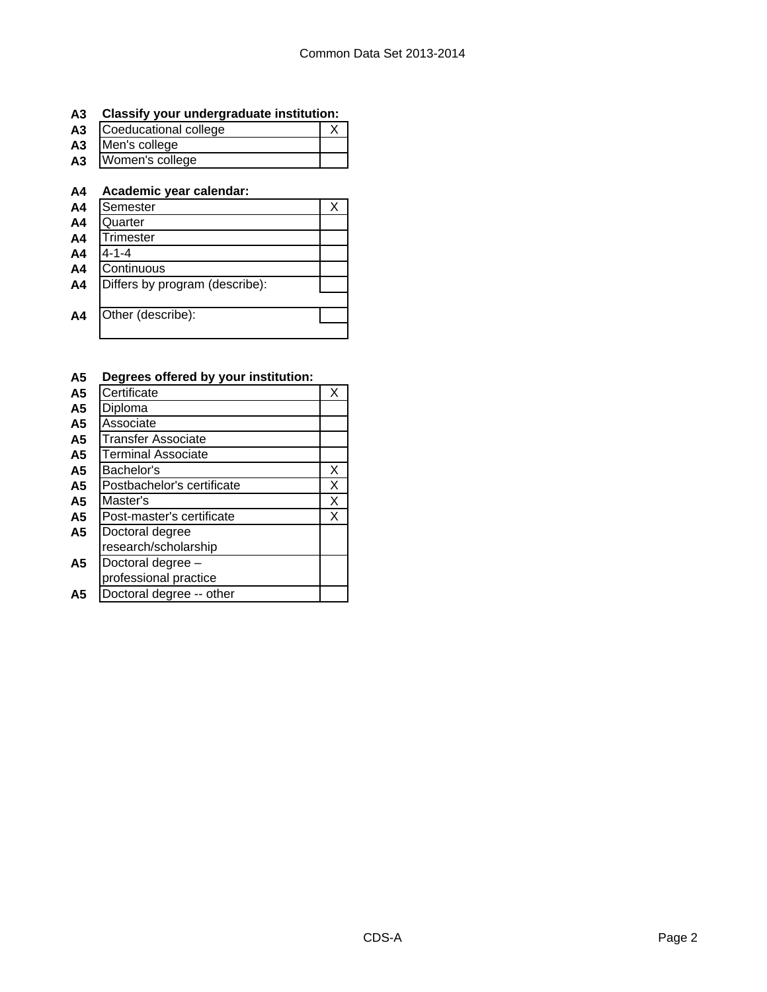### **A3 Classify your undergraduate institution:**

| A <sub>3</sub> | Coeducational college |  |
|----------------|-----------------------|--|
|                | A3 Men's college      |  |
| A3             | Women's college       |  |

### **A4 Academic year calendar:**

| A <sub>4</sub> | Semester                       |  |
|----------------|--------------------------------|--|
| A <sub>4</sub> | Quarter                        |  |
| A <sub>4</sub> | Trimester                      |  |
| A <sub>4</sub> | 4-1-4                          |  |
| A <sub>4</sub> | Continuous                     |  |
| A <sub>4</sub> | Differs by program (describe): |  |
|                |                                |  |
| A4             | Other (describe):              |  |
|                |                                |  |

#### **A5 Degrees offered by your institution:**

| A <sub>5</sub> | Certificate                | Χ |
|----------------|----------------------------|---|
| A <sub>5</sub> | Diploma                    |   |
| A <sub>5</sub> | Associate                  |   |
| A <sub>5</sub> | <b>Transfer Associate</b>  |   |
| A <sub>5</sub> | <b>Terminal Associate</b>  |   |
| A <sub>5</sub> | Bachelor's                 | X |
| A <sub>5</sub> | Postbachelor's certificate | Χ |
| A5             | Master's                   | Χ |
| A <sub>5</sub> | Post-master's certificate  | X |
| A <sub>5</sub> | Doctoral degree            |   |
|                | research/scholarship       |   |
| A <sub>5</sub> | Doctoral degree -          |   |
|                | professional practice      |   |
| Α5             | Doctoral degree -- other   |   |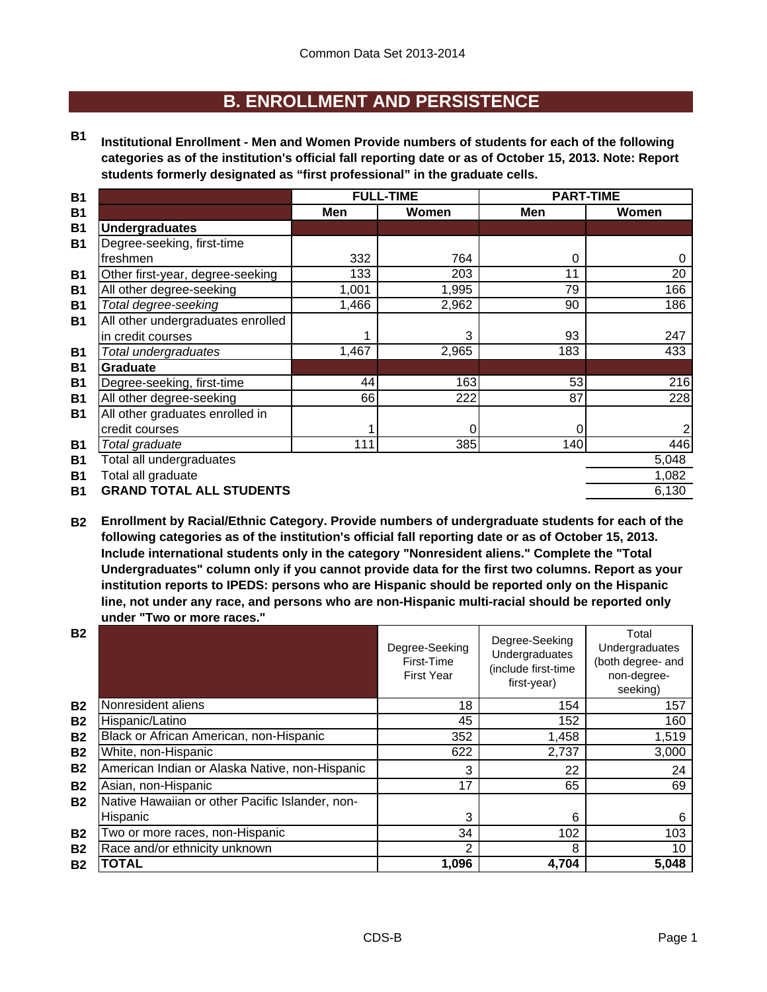### **B. ENROLLMENT AND PERSISTENCE**

**B1 Institutional Enrollment - Men and Women Provide numbers of students for each of the following categories as of the institution's official fall reporting date or as of October 15, 2013. Note: Report students formerly designated as "first professional" in the graduate cells.**

| <b>B1</b> |                                   | <b>FULL-TIME</b> |       | <b>PART-TIME</b> |       |
|-----------|-----------------------------------|------------------|-------|------------------|-------|
| <b>B1</b> |                                   | Men              | Women | Men              | Women |
| <b>B1</b> | <b>Undergraduates</b>             |                  |       |                  |       |
| <b>B1</b> | Degree-seeking, first-time        |                  |       |                  |       |
|           | freshmen                          | 332              | 764   | 0                | O     |
| <b>B1</b> | Other first-year, degree-seeking  | 133              | 203   | 11               | 20    |
| <b>B1</b> | All other degree-seeking          | 1,001            | 1,995 | 79               | 166   |
| <b>B1</b> | Total degree-seeking              | 1,466            | 2,962 | 90               | 186   |
| <b>B1</b> | All other undergraduates enrolled |                  |       |                  |       |
|           | in credit courses                 |                  | 3     | 93               | 247   |
| <b>B1</b> | Total undergraduates              | 1,467            | 2,965 | 183              | 433   |
| <b>B1</b> | <b>Graduate</b>                   |                  |       |                  |       |
| <b>B1</b> | Degree-seeking, first-time        | 44               | 163   | 53               | 216   |
| <b>B1</b> | All other degree-seeking          | 66               | 222   | 87               | 228   |
| <b>B1</b> | All other graduates enrolled in   |                  |       |                  |       |
|           | credit courses                    |                  | 0     | 0                |       |
| <b>B1</b> | Total graduate                    | 111              | 385   | 140              | 446   |
| <b>B1</b> | Total all undergraduates          |                  |       |                  | 5,048 |
| <b>B1</b> | Total all graduate                |                  |       |                  | 1,082 |
| <b>B1</b> | <b>GRAND TOTAL ALL STUDENTS</b>   |                  |       |                  | 6,130 |
|           |                                   |                  |       |                  |       |

**B2 Enrollment by Racial/Ethnic Category. Provide numbers of undergraduate students for each of the following categories as of the institution's official fall reporting date or as of October 15, 2013. Include international students only in the category "Nonresident aliens." Complete the "Total Undergraduates" column only if you cannot provide data for the first two columns. Report as your institution reports to IPEDS: persons who are Hispanic should be reported only on the Hispanic line, not under any race, and persons who are non-Hispanic multi-racial should be reported only under "Two or more races."** 

| <b>B2</b> |                                                 | Degree-Seeking<br>First-Time<br><b>First Year</b> | Degree-Seeking<br>Undergraduates<br>(include first-time<br>first-year) | Total<br>Undergraduates<br>(both degree- and<br>non-degree-<br>seeking) |
|-----------|-------------------------------------------------|---------------------------------------------------|------------------------------------------------------------------------|-------------------------------------------------------------------------|
| <b>B2</b> | Nonresident aliens                              | 18                                                | 154                                                                    | 157                                                                     |
| <b>B2</b> | Hispanic/Latino                                 | 45                                                | 152                                                                    | 160                                                                     |
| <b>B2</b> | Black or African American, non-Hispanic         | 352                                               | 1,458                                                                  | 1,519                                                                   |
| <b>B2</b> | White, non-Hispanic                             | 622                                               | 2,737                                                                  | 3,000                                                                   |
| <b>B2</b> | American Indian or Alaska Native, non-Hispanic  | 3                                                 | 22                                                                     | 24                                                                      |
| <b>B2</b> | Asian, non-Hispanic                             | 17                                                | 65                                                                     | 69                                                                      |
| <b>B2</b> | Native Hawaiian or other Pacific Islander, non- |                                                   |                                                                        |                                                                         |
|           | Hispanic                                        | 3                                                 | 6                                                                      | 6                                                                       |
| <b>B2</b> | Two or more races, non-Hispanic                 | 34                                                | 102                                                                    | 103                                                                     |
| <b>B2</b> | Race and/or ethnicity unknown                   | 2                                                 | 8                                                                      | 10                                                                      |
| <b>B2</b> | <b>TOTAL</b>                                    | 1,096                                             | 4,704                                                                  | 5,048                                                                   |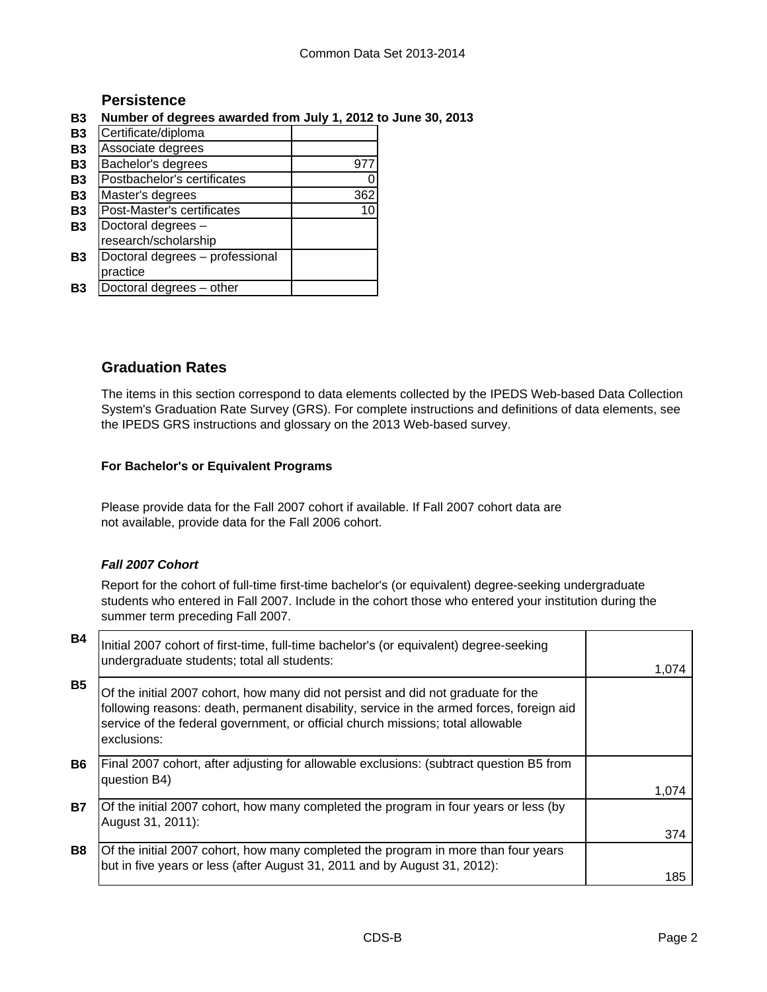#### **Persistence**

#### **B3 Number of degrees awarded from July 1, 2012 to June 30, 2013**

| <b>B3</b> | Certificate/diploma             |     |
|-----------|---------------------------------|-----|
| <b>B3</b> | Associate degrees               |     |
| <b>B3</b> | Bachelor's degrees              | 97  |
| <b>B3</b> | Postbachelor's certificates     |     |
| <b>B3</b> | Master's degrees                | 362 |
| <b>B3</b> | Post-Master's certificates      | 10  |
| <b>B3</b> | Doctoral degrees -              |     |
|           | research/scholarship            |     |
| <b>B3</b> | Doctoral degrees - professional |     |
|           | practice                        |     |
| B3        | Doctoral degrees - other        |     |

#### **Graduation Rates**

The items in this section correspond to data elements collected by the IPEDS Web-based Data Collection System's Graduation Rate Survey (GRS). For complete instructions and definitions of data elements, see the IPEDS GRS instructions and glossary on the 2013 Web-based survey.

#### **For Bachelor's or Equivalent Programs**

Please provide data for the Fall 2007 cohort if available. If Fall 2007 cohort data are not available, provide data for the Fall 2006 cohort.

#### *Fall 2007 Cohort*

Report for the cohort of full-time first-time bachelor's (or equivalent) degree-seeking undergraduate students who entered in Fall 2007. Include in the cohort those who entered your institution during the summer term preceding Fall 2007.

| <b>B4</b> | Initial 2007 cohort of first-time, full-time bachelor's (or equivalent) degree-seeking<br>undergraduate students; total all students:                                                                                                                                           |       |
|-----------|---------------------------------------------------------------------------------------------------------------------------------------------------------------------------------------------------------------------------------------------------------------------------------|-------|
|           |                                                                                                                                                                                                                                                                                 | 1.074 |
| <b>B5</b> | Of the initial 2007 cohort, how many did not persist and did not graduate for the<br>following reasons: death, permanent disability, service in the armed forces, foreign aid<br>service of the federal government, or official church missions; total allowable<br>exclusions: |       |
| <b>B6</b> | Final 2007 cohort, after adjusting for allowable exclusions: (subtract question B5 from<br>question B4)                                                                                                                                                                         |       |
|           |                                                                                                                                                                                                                                                                                 | 1.074 |
| <b>B7</b> | Of the initial 2007 cohort, how many completed the program in four years or less (by<br>August 31, 2011):                                                                                                                                                                       |       |
|           |                                                                                                                                                                                                                                                                                 | 374   |
| <b>B8</b> | Of the initial 2007 cohort, how many completed the program in more than four years<br>but in five years or less (after August 31, 2011 and by August 31, 2012):                                                                                                                 |       |
|           |                                                                                                                                                                                                                                                                                 | 185   |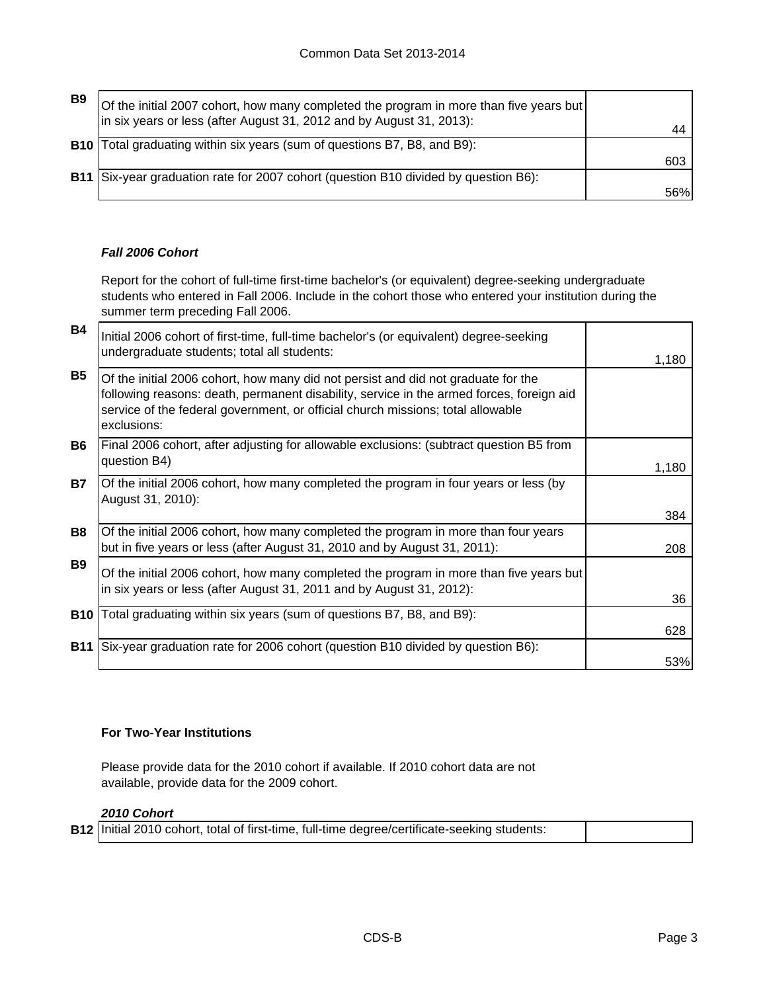| B9 | Of the initial 2007 cohort, how many completed the program in more than five years but<br>in six years or less (after August 31, 2012 and by August 31, 2013): |     |
|----|----------------------------------------------------------------------------------------------------------------------------------------------------------------|-----|
|    | <b>B10</b> Total graduating within six years (sum of questions B7, B8, and B9):                                                                                |     |
|    |                                                                                                                                                                | 603 |
|    | B11 Six-year graduation rate for 2007 cohort (question B10 divided by question B6):                                                                            |     |
|    |                                                                                                                                                                | 56% |

#### *Fall 2006 Cohort*

Report for the cohort of full-time first-time bachelor's (or equivalent) degree-seeking undergraduate students who entered in Fall 2006. Include in the cohort those who entered your institution during the summer term preceding Fall 2006.

| 1,180 |
|-------|
|       |
| 1,180 |
|       |
| 384   |
| 208   |
| 36    |
|       |
| 628   |
|       |
| 53%   |
|       |

#### **For Two-Year Institutions**

Please provide data for the 2010 cohort if available. If 2010 cohort data are not available, provide data for the 2009 cohort.

#### *2010 Cohort*

|  | <b>B12</b> Initial 2010 cohort, total of first-time, full-time degree/certificate-seeking students: |  |
|--|-----------------------------------------------------------------------------------------------------|--|
|--|-----------------------------------------------------------------------------------------------------|--|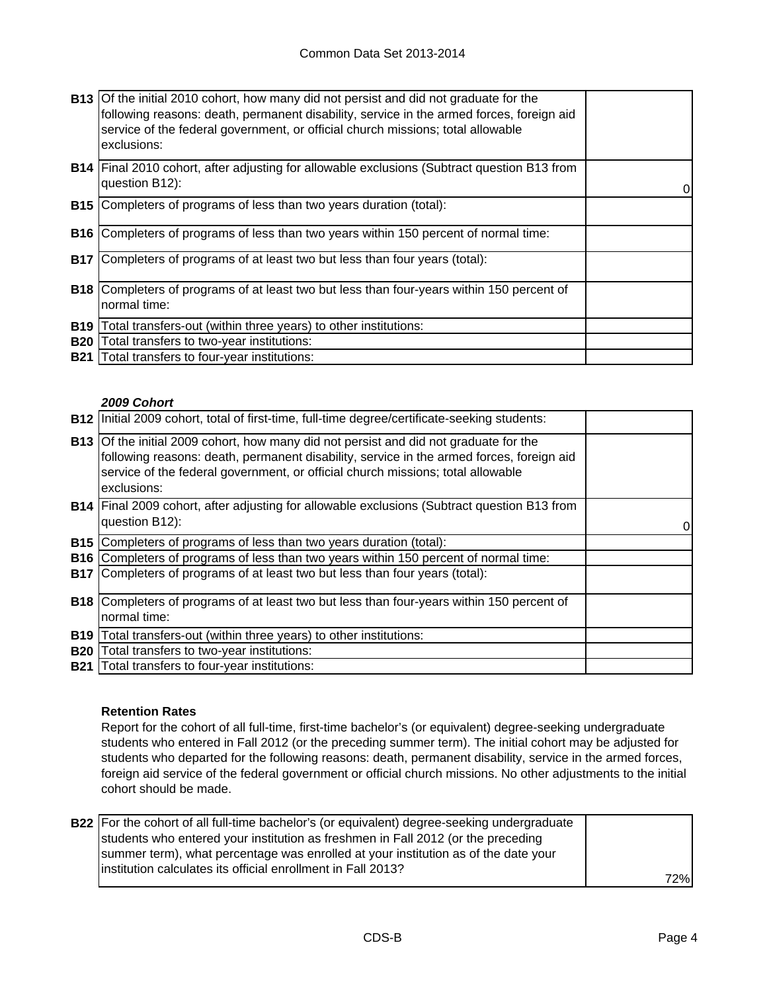|            | <b>B13</b> Of the initial 2010 cohort, how many did not persist and did not graduate for the<br>following reasons: death, permanent disability, service in the armed forces, foreign aid<br>service of the federal government, or official church missions; total allowable<br>exclusions: |   |
|------------|--------------------------------------------------------------------------------------------------------------------------------------------------------------------------------------------------------------------------------------------------------------------------------------------|---|
|            | <b>B14</b> Final 2010 cohort, after adjusting for allowable exclusions (Subtract question B13 from<br>question B12):                                                                                                                                                                       | 0 |
| <b>B15</b> | Completers of programs of less than two years duration (total):                                                                                                                                                                                                                            |   |
| <b>B16</b> | Completers of programs of less than two years within 150 percent of normal time:                                                                                                                                                                                                           |   |
| <b>B17</b> | Completers of programs of at least two but less than four years (total):                                                                                                                                                                                                                   |   |
|            | <b>B18</b> Completers of programs of at least two but less than four-years within 150 percent of<br>normal time:                                                                                                                                                                           |   |
| <b>B19</b> | Total transfers-out (within three years) to other institutions:                                                                                                                                                                                                                            |   |
| <b>B20</b> | Total transfers to two-year institutions:                                                                                                                                                                                                                                                  |   |
| <b>B21</b> | Total transfers to four-year institutions:                                                                                                                                                                                                                                                 |   |

#### *2009 Cohort*

|            | <b>B12</b> Initial 2009 cohort, total of first-time, full-time degree/certificate-seeking students:                                                                                                                                                                                        |   |
|------------|--------------------------------------------------------------------------------------------------------------------------------------------------------------------------------------------------------------------------------------------------------------------------------------------|---|
|            | <b>B13</b> Of the initial 2009 cohort, how many did not persist and did not graduate for the<br>following reasons: death, permanent disability, service in the armed forces, foreign aid<br>service of the federal government, or official church missions; total allowable<br>exclusions: |   |
|            | <b>B14</b> Final 2009 cohort, after adjusting for allowable exclusions (Subtract question B13 from<br>question B12):                                                                                                                                                                       | 0 |
|            | <b>B15</b> Completers of programs of less than two years duration (total):                                                                                                                                                                                                                 |   |
|            | <b>B16</b> Completers of programs of less than two years within 150 percent of normal time:                                                                                                                                                                                                |   |
| <b>B17</b> | Completers of programs of at least two but less than four years (total):                                                                                                                                                                                                                   |   |
| <b>B18</b> | Completers of programs of at least two but less than four-years within 150 percent of<br>normal time:                                                                                                                                                                                      |   |
| <b>B19</b> | Total transfers-out (within three years) to other institutions:                                                                                                                                                                                                                            |   |
| <b>B20</b> | Total transfers to two-year institutions:                                                                                                                                                                                                                                                  |   |
|            |                                                                                                                                                                                                                                                                                            |   |
|            | <b>B21</b> Total transfers to four-year institutions:                                                                                                                                                                                                                                      |   |

#### **Retention Rates**

Report for the cohort of all full-time, first-time bachelor's (or equivalent) degree-seeking undergraduate students who entered in Fall 2012 (or the preceding summer term). The initial cohort may be adjusted for students who departed for the following reasons: death, permanent disability, service in the armed forces, foreign aid service of the federal government or official church missions. No other adjustments to the initial cohort should be made.

| <b>B22</b> For the cohort of all full-time bachelor's (or equivalent) degree-seeking undergraduate |     |
|----------------------------------------------------------------------------------------------------|-----|
| students who entered your institution as freshmen in Fall 2012 (or the preceding                   |     |
| summer term), what percentage was enrolled at your institution as of the date your                 |     |
| linstitution calculates its official enrollment in Fall 2013?                                      |     |
|                                                                                                    | 72% |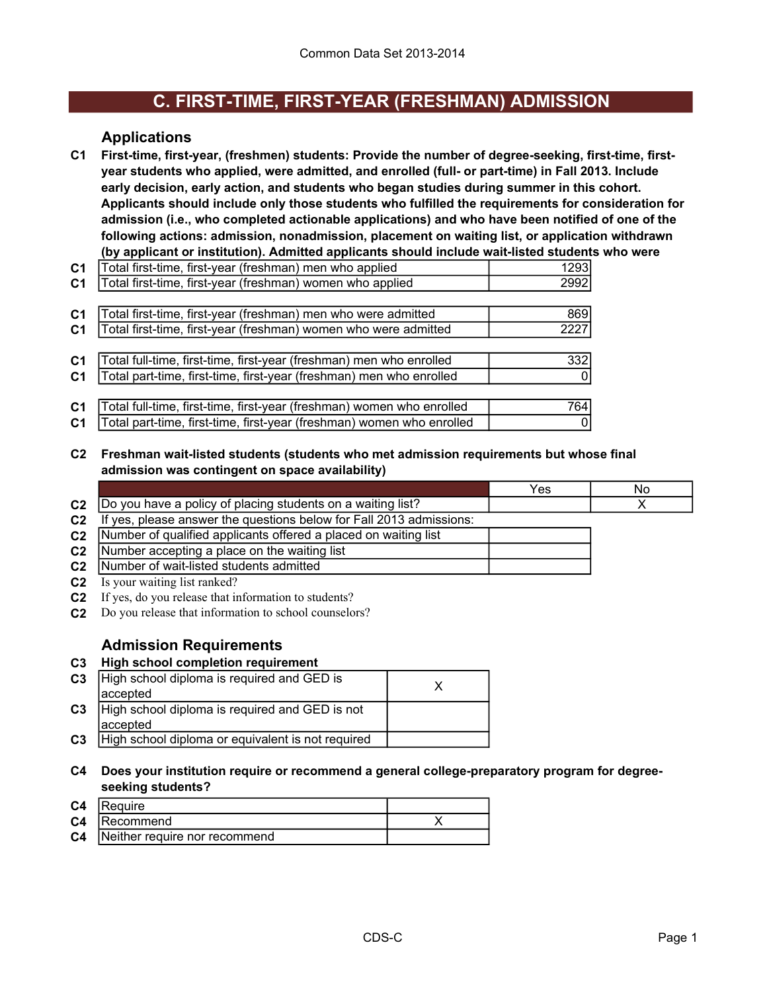### **C. FIRST-TIME, FIRST-YEAR (FRESHMAN) ADMISSION**

#### **Applications**

**C1 First-time, first-year, (freshmen) students: Provide the number of degree-seeking, first-time, firstyear students who applied, were admitted, and enrolled (full- or part-time) in Fall 2013. Include early decision, early action, and students who began studies during summer in this cohort. Applicants should include only those students who fulfilled the requirements for consideration for admission (i.e., who completed actionable applications) and who have been notified of one of the following actions: admission, nonadmission, placement on waiting list, or application withdrawn (by applicant or institution). Admitted applicants should include wait-listed students who were** 

| C <sub>1</sub> | Total first-time, first-year (freshman) men who applied               | 1293 |
|----------------|-----------------------------------------------------------------------|------|
| C <sub>1</sub> | Total first-time, first-year (freshman) women who applied             | 2992 |
|                |                                                                       |      |
| C <sub>1</sub> | Total first-time, first-year (freshman) men who were admitted         | 869  |
| C <sub>1</sub> | Total first-time, first-year (freshman) women who were admitted       | 2227 |
|                |                                                                       |      |
| C <sub>1</sub> | Total full-time, first-time, first-year (freshman) men who enrolled   | 332  |
| C <sub>1</sub> | Total part-time, first-time, first-year (freshman) men who enrolled   |      |
|                |                                                                       |      |
| C <sub>1</sub> | Total full-time, first-time, first-year (freshman) women who enrolled | 764  |
| C <sub>1</sub> | Total part-time, first-time, first-year (freshman) women who enrolled |      |

**C2 Freshman wait-listed students (students who met admission requirements but whose final admission was contingent on space availability)**

|                |                                                                    | -NC |
|----------------|--------------------------------------------------------------------|-----|
| C <sub>2</sub> | (Do you have a policy of placing students on a waiting list?       |     |
| $\sim$         | If yoo places apougs the questions helew for Foll 2012 admissionar |     |

|  | C2 If yes, please answer the questions below for Fall 2013 admissions: |  |  |  |  |  |  |  |
|--|------------------------------------------------------------------------|--|--|--|--|--|--|--|
|  |                                                                        |  |  |  |  |  |  |  |

| C2   Number of qualified applicants offered a placed on waiting list |  |
|----------------------------------------------------------------------|--|
| C2   Number accepting a place on the waiting list                    |  |

- **C2** Number of wait-listed students admitted
- **C2** Is your waiting list ranked?
- **C2** If yes, do you release that information to students?
- **C2** Do you release that information to school counselors?

#### **Admission Requirements**

#### **C3 High school completion requirement**

| C <sub>3</sub> | High school diploma is required and GED is        |  |
|----------------|---------------------------------------------------|--|
|                | laccepted                                         |  |
| C <sub>3</sub> | High school diploma is required and GED is not    |  |
|                | laccepted                                         |  |
| C <sub>3</sub> | High school diploma or equivalent is not required |  |

**C4 Does your institution require or recommend a general college-preparatory program for degreeseeking students?**

| C <sub>4</sub> | Require                       |  |
|----------------|-------------------------------|--|
|                | C4   Recommend                |  |
| C <sub>4</sub> | Neither require nor recommend |  |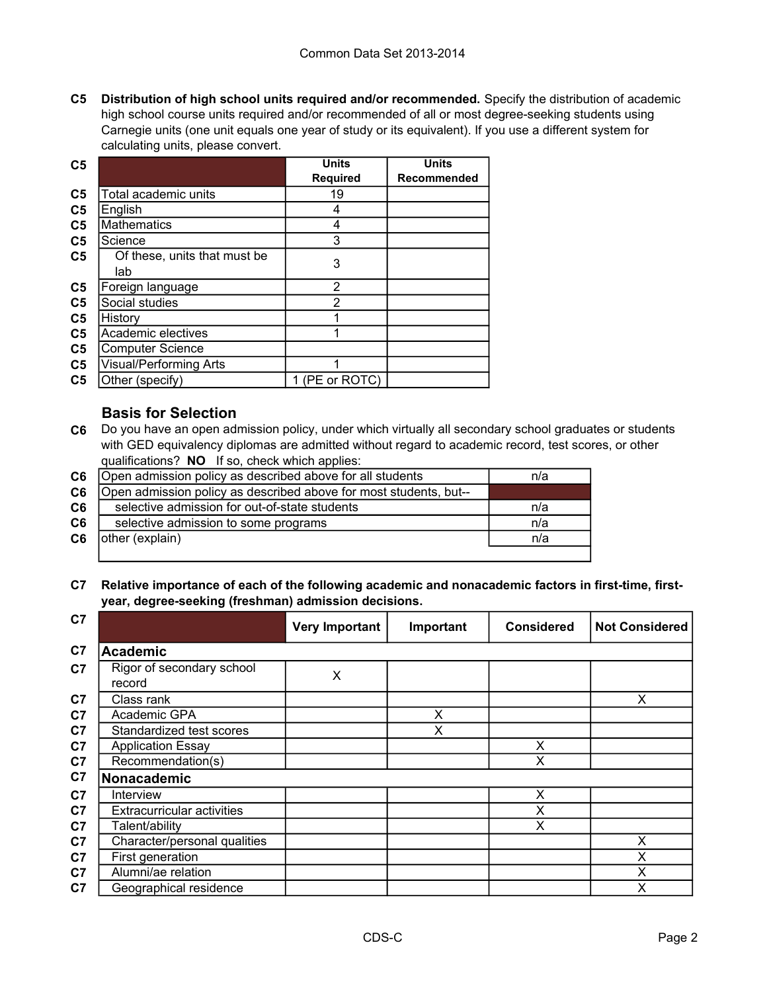**C5 Distribution of high school units required and/or recommended.** Specify the distribution of academic high school course units required and/or recommended of all or most degree-seeking students using Carnegie units (one unit equals one year of study or its equivalent). If you use a different system for calculating units, please convert.

| C <sub>5</sub> |                               | <b>Units</b>    | <b>Units</b> |
|----------------|-------------------------------|-----------------|--------------|
|                |                               | <b>Required</b> | Recommended  |
| C <sub>5</sub> | Total academic units          | 19              |              |
| C <sub>5</sub> | English                       | 4               |              |
| C <sub>5</sub> | <b>Mathematics</b>            | 4               |              |
| C <sub>5</sub> | Science                       | 3               |              |
| C <sub>5</sub> | Of these, units that must be  | 3               |              |
|                | lab                           |                 |              |
| C <sub>5</sub> | Foreign language              | 2               |              |
| C <sub>5</sub> | Social studies                | $\overline{2}$  |              |
| C <sub>5</sub> | History                       |                 |              |
| C <sub>5</sub> | Academic electives            |                 |              |
| C <sub>5</sub> | <b>Computer Science</b>       |                 |              |
| C <sub>5</sub> | <b>Visual/Performing Arts</b> |                 |              |
| C <sub>5</sub> | Other (specify)               | 1 (PE or ROTC)  |              |

#### **Basis for Selection**

**C6** Do you have an open admission policy, under which virtually all secondary school graduates or students with GED equivalency diplomas are admitted without regard to academic record, test scores, or other qualifications? **NO** If so, check which applies:

| C <sub>6</sub> | Open admission policy as described above for all students         | n/a |
|----------------|-------------------------------------------------------------------|-----|
| C6             | Open admission policy as described above for most students, but-- |     |
| C6             | selective admission for out-of-state students                     | n/a |
| C6             | selective admission to some programs                              | n/a |
| C <sub>6</sub> | other (explain)                                                   | n/a |
|                |                                                                   |     |

#### **C7 Relative importance of each of the following academic and nonacademic factors in first-time, firstyear, degree-seeking (freshman) admission decisions.**

| C7             |                                     | <b>Very Important</b> | Important | <b>Considered</b> | <b>Not Considered</b> |
|----------------|-------------------------------------|-----------------------|-----------|-------------------|-----------------------|
| C <sub>7</sub> | <b>Academic</b>                     |                       |           |                   |                       |
| C <sub>7</sub> | Rigor of secondary school<br>record | X                     |           |                   |                       |
| C <sub>7</sub> | Class rank                          |                       |           |                   | X                     |
| C <sub>7</sub> | Academic GPA                        |                       | X         |                   |                       |
| C7             | Standardized test scores            |                       | X         |                   |                       |
| C <sub>7</sub> | <b>Application Essay</b>            |                       |           | X                 |                       |
| C7             | Recommendation(s)                   |                       |           | X                 |                       |
| C7             | Nonacademic                         |                       |           |                   |                       |
| C <sub>7</sub> | Interview                           |                       |           | X                 |                       |
| C <sub>7</sub> | <b>Extracurricular activities</b>   |                       |           | X                 |                       |
| C <sub>7</sub> | Talent/ability                      |                       |           | X                 |                       |
| C <sub>7</sub> | Character/personal qualities        |                       |           |                   | X                     |
| C <sub>7</sub> | First generation                    |                       |           |                   | Χ                     |
| C <sub>7</sub> | Alumni/ae relation                  |                       |           |                   | Χ                     |
| C7             | Geographical residence              |                       |           |                   | X                     |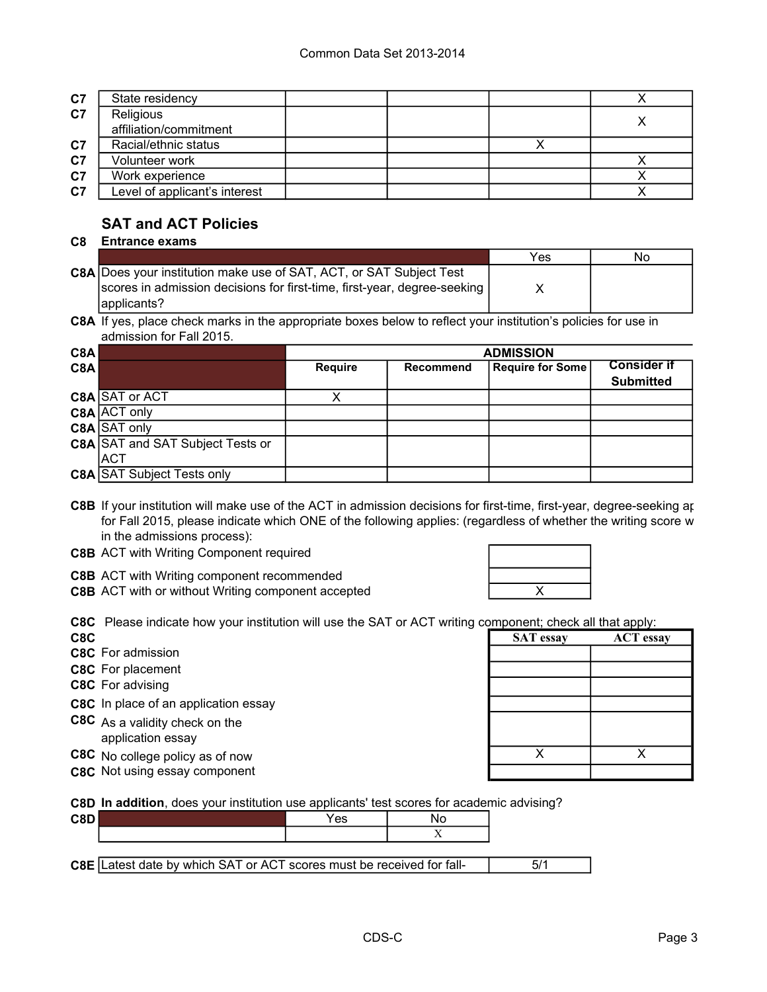| C7             | State residency                     |  |  |
|----------------|-------------------------------------|--|--|
| C <sub>7</sub> | Religious<br>affiliation/commitment |  |  |
| C <sub>7</sub> | Racial/ethnic status                |  |  |
| C <sub>7</sub> | Volunteer work                      |  |  |
| C <sub>7</sub> | Work experience                     |  |  |
| C <sub>7</sub> | Level of applicant's interest       |  |  |

### **SAT and ACT Policies**

#### **C8 Entrance exams**

|                                                                          | Yes | No. |
|--------------------------------------------------------------------------|-----|-----|
| C8A Does your institution make use of SAT, ACT, or SAT Subject Test      |     |     |
| Scores in admission decisions for first-time, first-year, degree-seeking |     |     |
| applicants?                                                              |     |     |

**C8A** If yes, place check marks in the appropriate boxes below to reflect your institution's policies for use in admission for Fall 2015.

| C8A |                                         | <b>ADMISSION</b> |                  |                         |                    |  |
|-----|-----------------------------------------|------------------|------------------|-------------------------|--------------------|--|
| C8A |                                         | <b>Require</b>   | <b>Recommend</b> | <b>Require for Some</b> | <b>Consider if</b> |  |
|     |                                         |                  |                  |                         | <b>Submitted</b>   |  |
|     | C8A SAT or ACT                          |                  |                  |                         |                    |  |
|     | C8A ACT only                            |                  |                  |                         |                    |  |
|     | C8A SAT only                            |                  |                  |                         |                    |  |
|     | <b>C8A SAT and SAT Subject Tests or</b> |                  |                  |                         |                    |  |
|     | <b>ACT</b>                              |                  |                  |                         |                    |  |
|     | <b>C8A SAT Subject Tests only</b>       |                  |                  |                         |                    |  |

C8B If your institution will make use of the ACT in admission decisions for first-time, first-year, degree-seeking ap for Fall 2015, please indicate which ONE of the following applies: (regardless of whether the writing score w in the admissions process):

- **C8B** ACT with Writing Component required
- **C8B** ACT with Writing component recommended
- **C8B** ACT with or without Writing component accepted **ACT ACT ACT**

**C8C** Please indicate how your institution will use the SAT or ACT writing component; check all that apply:

**C8C SAT essay ACT essay** 

- **C8C** For admission
- **C8C** For placement
- **C8C** For advising
- **C8C** In place of an application essay
- **C8C** As a validity check on the application essay
- **C8C** No college policy as of now X X X
- **C8C** Not using essay component

**C8D In addition**, does your institution use applicants' test scores for academic advising?

| C8D' |                                                                                                                          | Yes |     |  |
|------|--------------------------------------------------------------------------------------------------------------------------|-----|-----|--|
|      |                                                                                                                          |     | - - |  |
|      |                                                                                                                          |     |     |  |
|      | the contract of the contract of the contract of the contract of the contract of the contract of the contract of<br>_____ |     |     |  |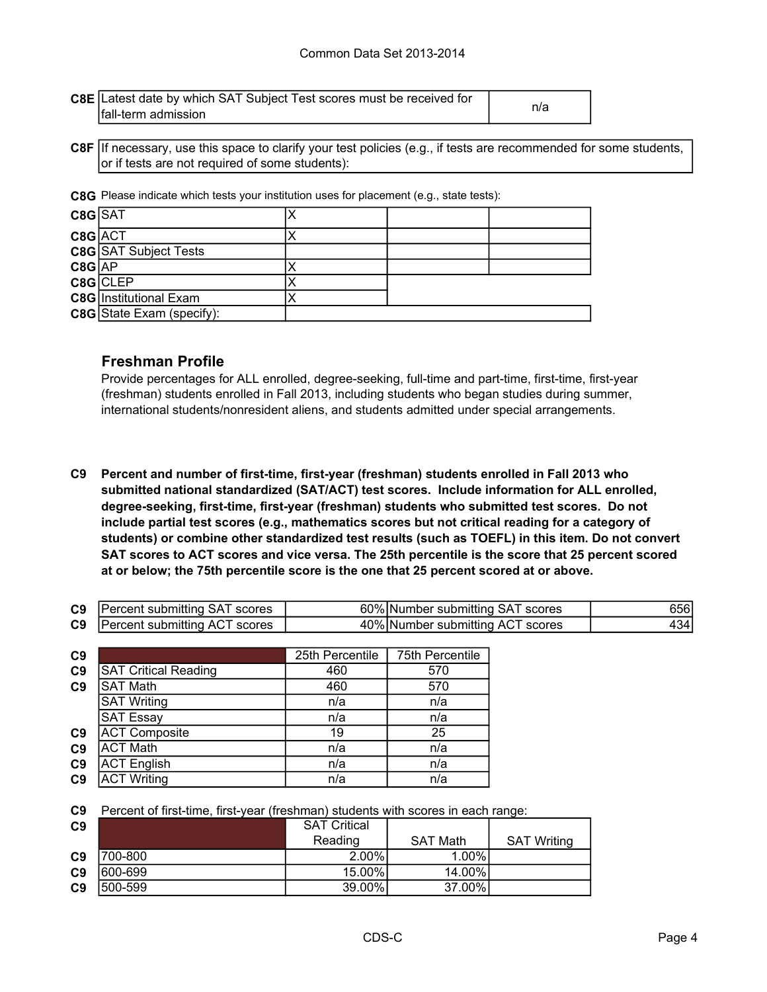| <b>C8E</b> Latest date by which SAT Subject Test scores must be received for |     |  |
|------------------------------------------------------------------------------|-----|--|
| fall-term admission                                                          | n/a |  |

**C8F** If necessary, use this space to clarify your test policies (e.g., if tests are recommended for some students, or if tests are not required of some students):

**C8G** Please indicate which tests your institution uses for placement (e.g., state tests):

| C8G SAT    |                                  |  |  |
|------------|----------------------------------|--|--|
| C8G ACT    |                                  |  |  |
|            | <b>C8G</b> SAT Subject Tests     |  |  |
| $C8G$ $AP$ |                                  |  |  |
|            | $C8G$ CLEP                       |  |  |
|            | <b>C8G</b> Institutional Exam    |  |  |
|            | <b>C8G</b> State Exam (specify): |  |  |

#### **Freshman Profile**

Provide percentages for ALL enrolled, degree-seeking, full-time and part-time, first-time, first-year (freshman) students enrolled in Fall 2013, including students who began studies during summer, international students/nonresident aliens, and students admitted under special arrangements.

**C9 Percent and number of first-time, first-year (freshman) students enrolled in Fall 2013 who submitted national standardized (SAT/ACT) test scores. Include information for ALL enrolled, degree-seeking, first-time, first-year (freshman) students who submitted test scores. Do not include partial test scores (e.g., mathematics scores but not critical reading for a category of students) or combine other standardized test results (such as TOEFL) in this item. Do not convert SAT scores to ACT scores and vice versa. The 25th percentile is the score that 25 percent scored at or below; the 75th percentile score is the one that 25 percent scored at or above.**

| <b>C9</b> Percent submitting SAT scores | 60% Number submitting SAT scores | 656I  |
|-----------------------------------------|----------------------------------|-------|
| <b>C9</b> Percent submitting ACT scores | 40% Number submitting ACT scores | 434 I |

| C9             |                             | 25th Percentile | 75th Percentile |
|----------------|-----------------------------|-----------------|-----------------|
| C <sub>9</sub> | <b>SAT Critical Reading</b> | 460             | 570             |
| C <sub>9</sub> | <b>SAT Math</b>             | 460             | 570             |
|                | <b>SAT Writing</b>          | n/a             | n/a             |
|                | <b>SAT Essay</b>            | n/a             | n/a             |
| C <sub>9</sub> | <b>ACT Composite</b>        | 19              | 25              |
| C <sub>9</sub> | <b>ACT Math</b>             | n/a             | n/a             |
| C <sub>9</sub> | <b>ACT English</b>          | n/a             | n/a             |
| C <sub>9</sub> | <b>ACT Writing</b>          | n/a             | n/a             |

**C9** Percent of first-time, first-year (freshman) students with scores in each range:

| C9             |          | <b>SAT Critical</b> |                 |                    |
|----------------|----------|---------------------|-----------------|--------------------|
|                |          | Reading             | <b>SAT Math</b> | <b>SAT Writing</b> |
| C <sub>9</sub> | 700-800  | $2.00\%$            | $1.00\%$        |                    |
| C <sub>9</sub> | 600-699  | 15.00%              | 14.00%          |                    |
| C <sub>9</sub> | 1500-599 | 39.00%              | 37.00%          |                    |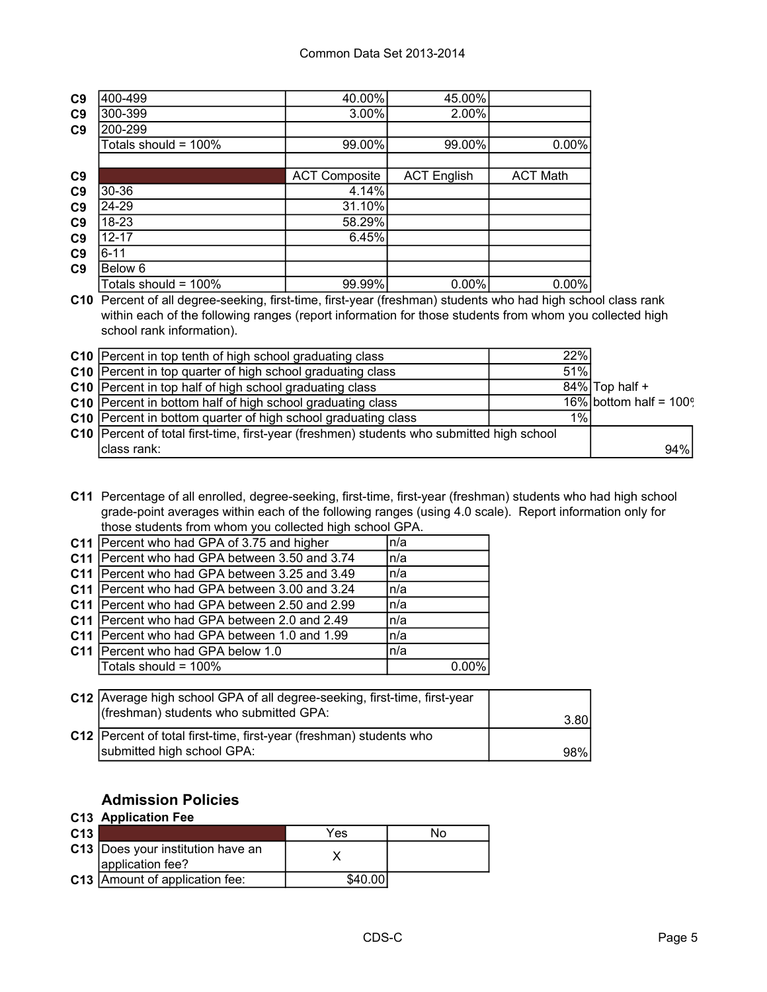| C <sub>9</sub> | 400-499              | 40.00%               | 45.00%             |                 |
|----------------|----------------------|----------------------|--------------------|-----------------|
| C <sub>9</sub> | 300-399              | 3.00%                | 2.00%              |                 |
| C <sub>9</sub> | 200-299              |                      |                    |                 |
|                | Totals should = 100% | 99.00%               | 99.00%             | $0.00\%$        |
|                |                      |                      |                    |                 |
| C <sub>9</sub> |                      | <b>ACT Composite</b> | <b>ACT English</b> | <b>ACT Math</b> |
| C <sub>9</sub> | 30-36                | 4.14%                |                    |                 |
| C <sub>9</sub> | 24-29                | 31.10%               |                    |                 |
| C <sub>9</sub> | 18-23                | 58.29%               |                    |                 |
| C <sub>9</sub> | $12 - 17$            | 6.45%                |                    |                 |
| C <sub>9</sub> | $6 - 11$             |                      |                    |                 |
| C <sub>9</sub> | Below 6              |                      |                    |                 |
|                | Totals should = 100% | 99.99%               | $0.00\%$           | $0.00\%$        |

**C10** Percent of all degree-seeking, first-time, first-year (freshman) students who had high school class rank within each of the following ranges (report information for those students from whom you collected high school rank information).

| C10 Percent in top tenth of high school graduating class                                  | 22% |                              |
|-------------------------------------------------------------------------------------------|-----|------------------------------|
| C10 Percent in top quarter of high school graduating class                                | 51% |                              |
| C10 Percent in top half of high school graduating class                                   |     | $84\%$ Top half +            |
| C10 Percent in bottom half of high school graduating class                                |     | $16\%$ bottom half = $100\%$ |
| C10 Percent in bottom quarter of high school graduating class                             | 1%  |                              |
| C10 Percent of total first-time, first-year (freshmen) students who submitted high school |     |                              |
| class rank:                                                                               |     | 94%                          |

**C11** Percentage of all enrolled, degree-seeking, first-time, first-year (freshman) students who had high school grade-point averages within each of the following ranges (using 4.0 scale). Report information only for those students from whom you collected high school GPA.

| C11 Percent who had GPA of 3.75 and higher      | n/a      |
|-------------------------------------------------|----------|
| C11 Percent who had GPA between 3.50 and 3.74   | n/a      |
| C11 Percent who had GPA between 3.25 and 3.49   | n/a      |
| C11 Percent who had GPA between 3.00 and 3.24   | n/a      |
| C11   Percent who had GPA between 2.50 and 2.99 | n/a      |
| C11   Percent who had GPA between 2.0 and 2.49  | n/a      |
| C11   Percent who had GPA between 1.0 and 1.99  | n/a      |
| C11 Percent who had GPA below 1.0               | n/a      |
| Totals should = 100%                            | $0.00\%$ |
|                                                 |          |

| C12 Average high school GPA of all degree-seeking, first-time, first-year<br>(freshman) students who submitted GPA: | 3.80 |
|---------------------------------------------------------------------------------------------------------------------|------|
| C12   Percent of total first-time, first-year (freshman) students who<br>submitted high school GPA:                 | 98%  |

### **Admission Policies**

#### **C13 Application Fee**

| C <sub>13</sub> |                                                         | Yes     | N٥ |
|-----------------|---------------------------------------------------------|---------|----|
|                 | C13   Does your institution have an<br>application fee? |         |    |
|                 | <b>C13</b> Amount of application fee:                   | \$40.00 |    |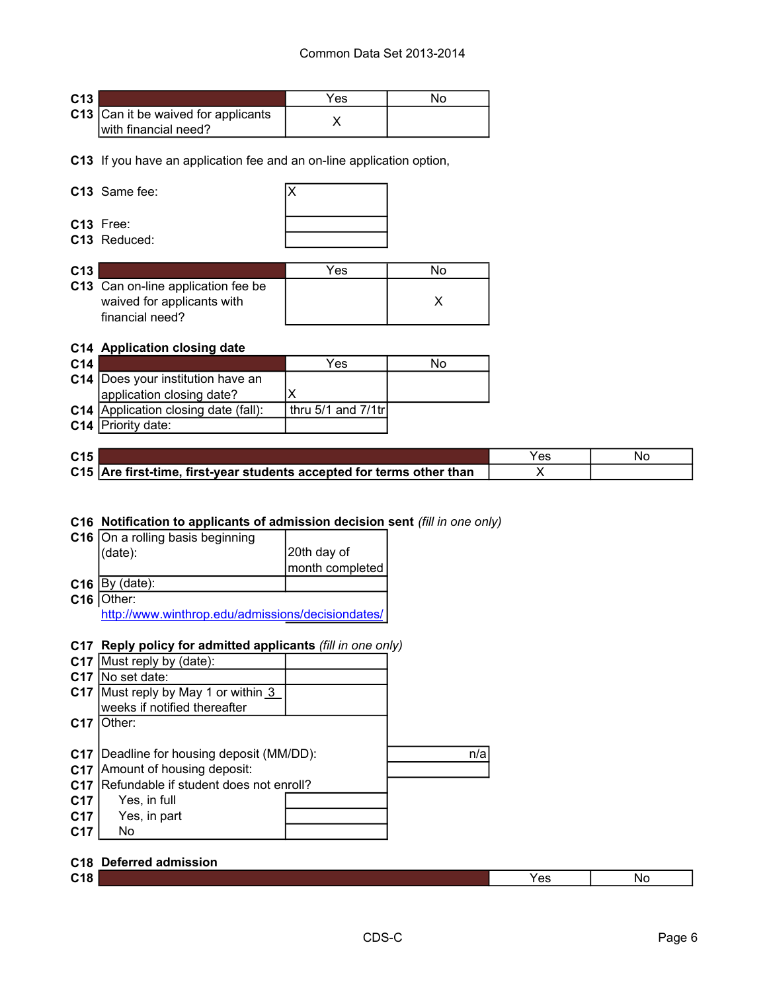| C <sub>13</sub> |                                                             | Yes |  |
|-----------------|-------------------------------------------------------------|-----|--|
|                 | C13 Can it be waived for applicants<br>with financial need? |     |  |

**C13** If you have an application fee and an on-line application option,

#### **C13** Same fee: X



**C13** Free: **C13** Reduced:

| C <sub>13</sub> |                                                                                     | Yes |  |
|-----------------|-------------------------------------------------------------------------------------|-----|--|
|                 | C13 Can on-line application fee be<br>waived for applicants with<br>financial need? |     |  |

#### **C14 Application closing date**

| C <sub>14</sub> |                                      | Yes                   | No |
|-----------------|--------------------------------------|-----------------------|----|
|                 | C14 Does your institution have an    |                       |    |
|                 | application closing date?            |                       |    |
|                 | C14 Application closing date (fall): | thru 5/1 and $7/1$ tr |    |
|                 | C14   Priority date:                 |                       |    |

| C <sub>15</sub> |                                                                       | Yes | Nc |
|-----------------|-----------------------------------------------------------------------|-----|----|
|                 | C15 Are first-time, first-year students accepted for terms other than |     |    |

#### **C16 Notification to applicants of admission decision sent** *(fill in one only)*

| C16   On a rolling basis beginning                |                 |  |  |
|---------------------------------------------------|-----------------|--|--|
| (date):                                           | 20th day of     |  |  |
|                                                   | month completed |  |  |
| $C16$ By (date):                                  |                 |  |  |
| C16 Other:                                        |                 |  |  |
| http://www.winthrop.edu/admissions/decisiondates/ |                 |  |  |

#### **C17 Reply policy for admitted applicants** *(fill in one only)*

| n/a |
|-----|
|     |
|     |
|     |
|     |
|     |
|     |

#### **C18 Deferred admission**

| $\sim$ 40<br>. .<br>. . | ັດເ<br>w | -NC |
|-------------------------|----------|-----|
|                         |          |     |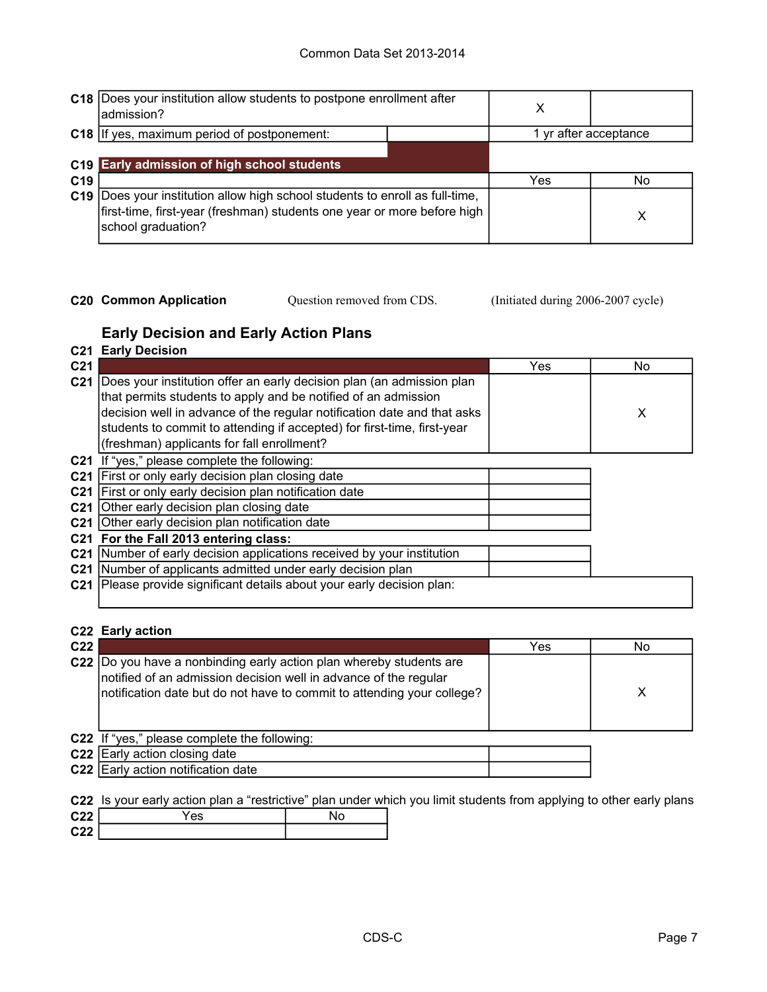|                 | C18  Does your institution allow students to postpone enrollment after<br>ladmission?                                                                                     | х   |                       |
|-----------------|---------------------------------------------------------------------------------------------------------------------------------------------------------------------------|-----|-----------------------|
|                 | C18 If yes, maximum period of postponement:                                                                                                                               |     | 1 yr after acceptance |
| C <sub>19</sub> | C19 Early admission of high school students                                                                                                                               | Yes | No                    |
| C <sub>19</sub> | Does your institution allow high school students to enroll as full-time,<br>first-time, first-year (freshman) students one year or more before high<br>school graduation? |     | х                     |

**C20 Common Application** Question removed from CDS. (Initiated during 2006-2007 cycle)

Question removed from CDS.

### **Early Decision and Early Action Plans**

|                 | <b>C21 Early Decision</b>                                                                                                                                                                                                                                                                                                                   |     |     |
|-----------------|---------------------------------------------------------------------------------------------------------------------------------------------------------------------------------------------------------------------------------------------------------------------------------------------------------------------------------------------|-----|-----|
| C <sub>21</sub> |                                                                                                                                                                                                                                                                                                                                             | Yes | No. |
| C <sub>21</sub> | Does your institution offer an early decision plan (an admission plan<br>that permits students to apply and be notified of an admission<br>decision well in advance of the regular notification date and that asks<br>students to commit to attending if accepted) for first-time, first-year<br>(freshman) applicants for fall enrollment? |     | X   |
| C <sub>21</sub> | If "yes," please complete the following:                                                                                                                                                                                                                                                                                                    |     |     |
|                 | C21 First or only early decision plan closing date                                                                                                                                                                                                                                                                                          |     |     |
|                 | C21 First or only early decision plan notification date                                                                                                                                                                                                                                                                                     |     |     |
| C <sub>21</sub> | Other early decision plan closing date                                                                                                                                                                                                                                                                                                      |     |     |
|                 | C21 Other early decision plan notification date                                                                                                                                                                                                                                                                                             |     |     |
|                 | C21 For the Fall 2013 entering class:                                                                                                                                                                                                                                                                                                       |     |     |
|                 | C21 Number of early decision applications received by your institution                                                                                                                                                                                                                                                                      |     |     |
|                 | C21 Number of applicants admitted under early decision plan                                                                                                                                                                                                                                                                                 |     |     |
| C <sub>21</sub> | Please provide significant details about your early decision plan:                                                                                                                                                                                                                                                                          |     |     |

#### **C22 Early action**

| C <sub>22</sub> |                                                                                                                                                                                                                    | Yes | No |
|-----------------|--------------------------------------------------------------------------------------------------------------------------------------------------------------------------------------------------------------------|-----|----|
|                 | C22  Do you have a nonbinding early action plan whereby students are<br>notified of an admission decision well in advance of the regular<br>notification date but do not have to commit to attending your college? |     |    |
|                 | C22 If "yes," please complete the following:                                                                                                                                                                       |     |    |
|                 | C22 Early action closing date                                                                                                                                                                                      |     |    |

**C22** Early action notification date

**C22** Is your early action plan a "restrictive" plan under which you limit students from applying to other early plans

| C22  | 'es |  |
|------|-----|--|
| 0.22 |     |  |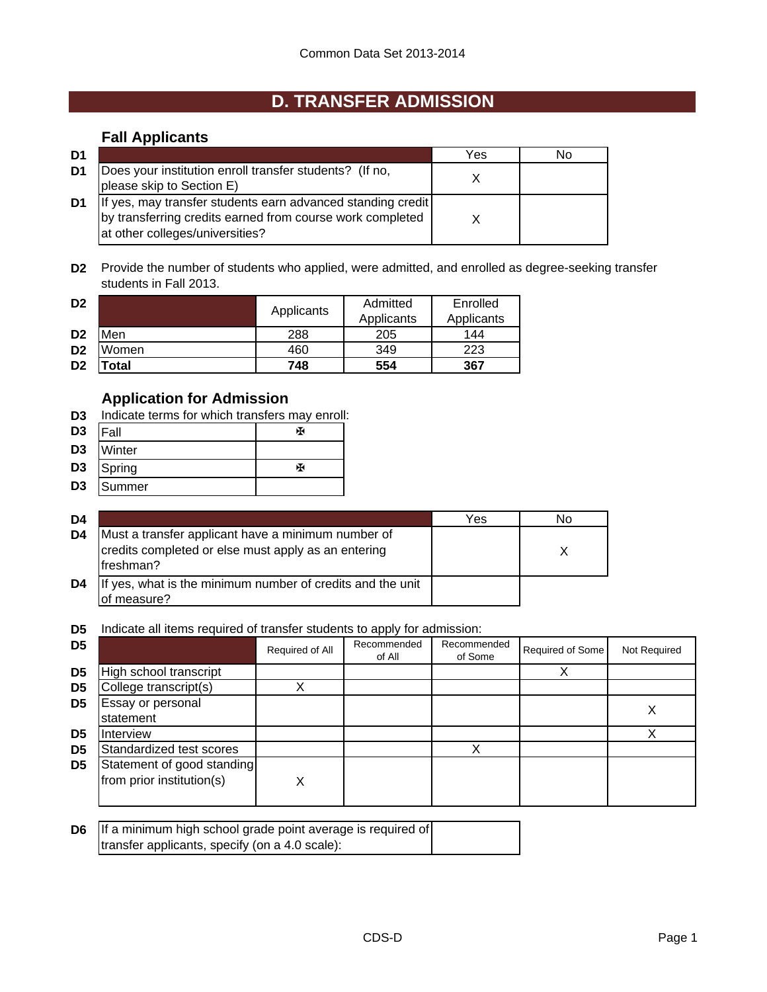# **D. TRANSFER ADMISSION**

### **Fall Applicants**

| D1 |                                                                                                                                                              | Yes | N٥ |
|----|--------------------------------------------------------------------------------------------------------------------------------------------------------------|-----|----|
| D1 | Does your institution enroll transfer students? (If no,<br>please skip to Section E)                                                                         |     |    |
| D1 | If yes, may transfer students earn advanced standing credit<br>by transferring credits earned from course work completed<br>lat other colleges/universities? |     |    |

**D2** Provide the number of students who applied, were admitted, and enrolled as degree-seeking transfer students in Fall 2013.

| D <sub>2</sub> |             | Applicants | Admitted<br>Applicants | Enrolled<br>Applicants |
|----------------|-------------|------------|------------------------|------------------------|
| D <sub>2</sub> | Men         | 288        | 205                    | 144                    |
| D <sub>2</sub> | Women       | 460        | 349                    | 223                    |
| D <sub>2</sub> | <b>otal</b> | 748        | 554                    | 367                    |

### **Application for Admission**

- **D3** Indicate terms for which transfers may enroll:
- D3 |Fall | <sub>卧</sub> **D3** Winter
- 
- **D3** Spring W
- **D3** Summer

| D4 |                                                                                                                         | Yes | No |
|----|-------------------------------------------------------------------------------------------------------------------------|-----|----|
| D4 | Must a transfer applicant have a minimum number of<br>credits completed or else must apply as an entering<br>lfreshman? |     |    |
| D4 | If yes, what is the minimum number of credits and the unit<br>of measure?                                               |     |    |

**D5** Indicate all items required of transfer students to apply for admission:

| D <sub>5</sub> |                                                         | Required of All | Recommended<br>of All | Recommended<br>of Some | Required of Some | Not Required |
|----------------|---------------------------------------------------------|-----------------|-----------------------|------------------------|------------------|--------------|
| D <sub>5</sub> | High school transcript                                  |                 |                       |                        |                  |              |
| D <sub>5</sub> | College transcript(s)                                   |                 |                       |                        |                  |              |
| D5             | Essay or personal<br>statement                          |                 |                       |                        |                  |              |
| D5             | <b>Interview</b>                                        |                 |                       |                        |                  |              |
| D <sub>5</sub> | Standardized test scores                                |                 |                       |                        |                  |              |
| D <sub>5</sub> | Statement of good standing<br>from prior institution(s) | X               |                       |                        |                  |              |

| <b>D6</b> If a minimum high school grade point average is required of |  |
|-----------------------------------------------------------------------|--|
| transfer applicants, specify (on a 4.0 scale):                        |  |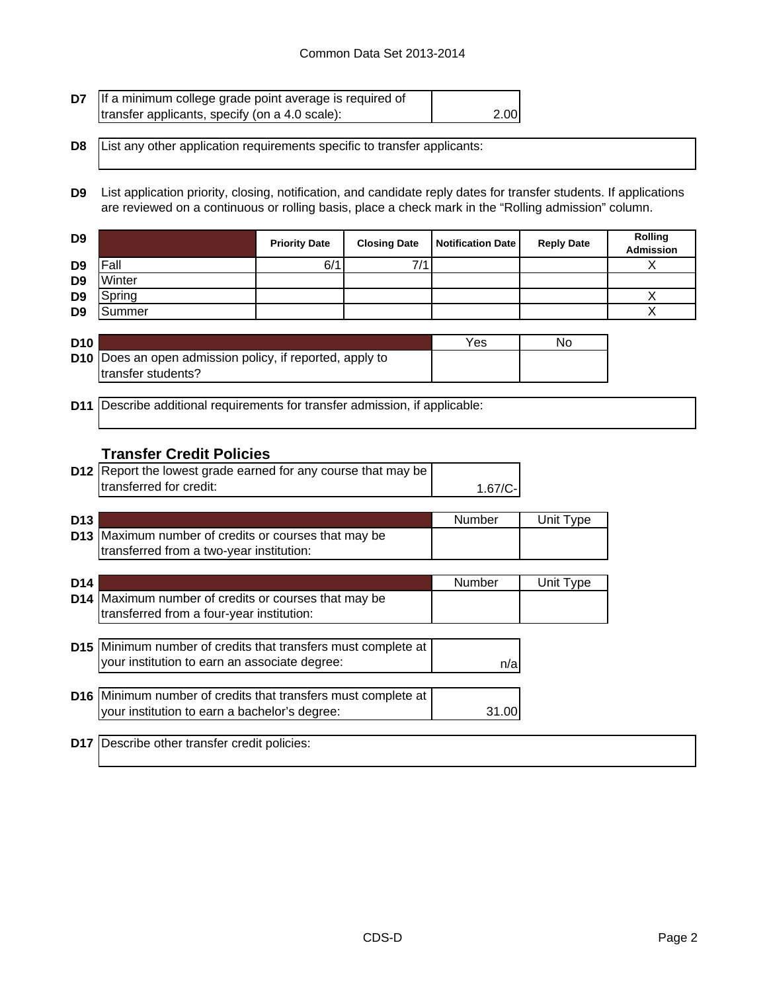| <b>D7</b> If a minimum college grade point average is required of |      |
|-------------------------------------------------------------------|------|
| transfer applicants, specify (on a 4.0 scale):                    | 2.00 |

**D8** List any other application requirements specific to transfer applicants:

**D9** List application priority, closing, notification, and candidate reply dates for transfer students. If applications are reviewed on a continuous or rolling basis, place a check mark in the "Rolling admission" column.

| D <sub>9</sub> |        | <b>Priority Date</b> | <b>Closing Date</b> | Notification Date | <b>Reply Date</b> | Rolling<br><b>Admission</b> |
|----------------|--------|----------------------|---------------------|-------------------|-------------------|-----------------------------|
| D <sub>9</sub> | Fall   | 6'                   | 7/1                 |                   |                   |                             |
| D <sub>9</sub> | Winter |                      |                     |                   |                   |                             |
| D <sub>9</sub> | Spring |                      |                     |                   |                   |                             |
| D <sub>9</sub> | Summer |                      |                     |                   |                   |                             |

| <b>D10</b> |                                                                 | Yes | No |
|------------|-----------------------------------------------------------------|-----|----|
|            | <b>D10</b> Does an open admission policy, if reported, apply to |     |    |
|            | transfer students?                                              |     |    |

**D11** Describe additional requirements for transfer admission, if applicable:

#### **Transfer Credit Policies**

| <b>D12</b> Report the lowest grade earned for any course that may be |           |  |
|----------------------------------------------------------------------|-----------|--|
| transferred for credit:                                              | $1.67/C-$ |  |

| D <sub>13</sub> |                                                      | Number | Unit Type |
|-----------------|------------------------------------------------------|--------|-----------|
|                 | D13 Maximum number of credits or courses that may be |        |           |
|                 | transferred from a two-year institution:             |        |           |

| D <sub>14</sub> |                                                                                                                | Number | Unit Type |
|-----------------|----------------------------------------------------------------------------------------------------------------|--------|-----------|
|                 | D14 Maximum number of credits or courses that may be<br>transferred from a four-year institution:              |        |           |
|                 | D15 Minimum number of credits that transfers must complete at<br>your institution to earn an associate degree: | n/a    |           |
|                 | D16 Minimum number of credits that transfers must complete at<br>your institution to earn a bachelor's degree: | 31.00  |           |

**D17** Describe other transfer credit policies: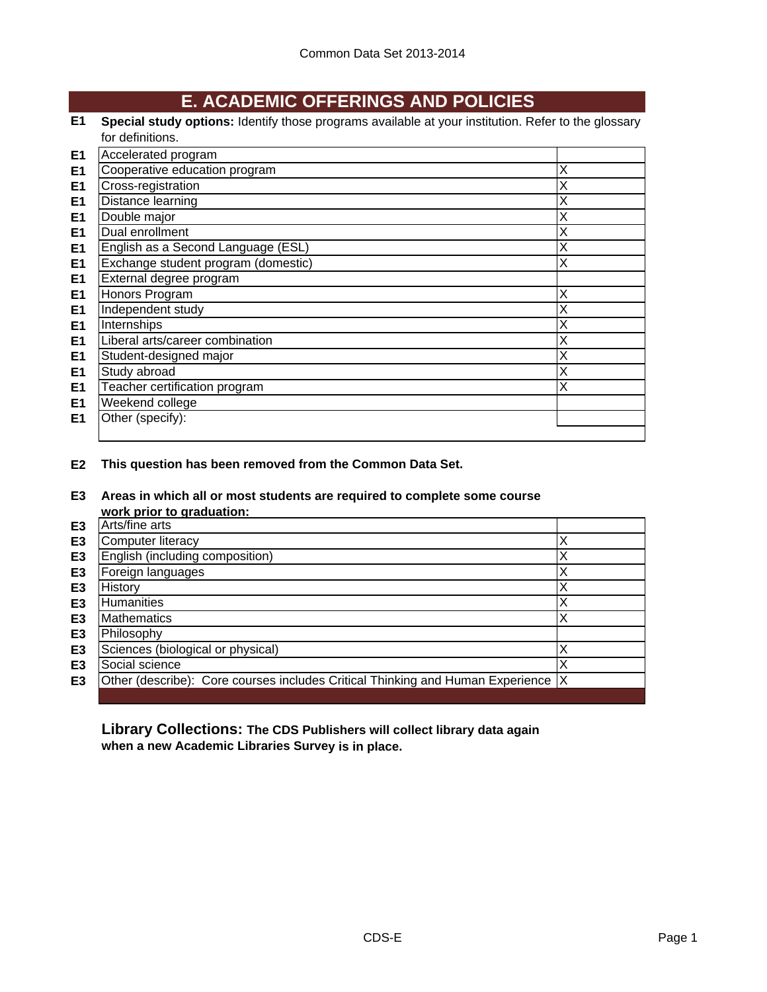## **E. ACADEMIC OFFERINGS AND POLICIES**

**E1 Special study options:** Identify those programs available at your institution. Refer to the glossary for definitions.

| E <sub>1</sub> | Accelerated program                 |   |
|----------------|-------------------------------------|---|
| E <sub>1</sub> | Cooperative education program       | х |
| E <sub>1</sub> | Cross-registration                  | х |
| E <sub>1</sub> | Distance learning                   | х |
| E <sub>1</sub> | Double major                        | Χ |
| E <sub>1</sub> | Dual enrollment                     | Χ |
| E <sub>1</sub> | English as a Second Language (ESL)  | Χ |
| E <sub>1</sub> | Exchange student program (domestic) | Χ |
| E <sub>1</sub> | External degree program             |   |
| E <sub>1</sub> | Honors Program                      | X |
| E <sub>1</sub> | Independent study                   | Χ |
| E <sub>1</sub> | Internships                         | Χ |
| E <sub>1</sub> | Liberal arts/career combination     | Χ |
| E <sub>1</sub> | Student-designed major              | Χ |
| E <sub>1</sub> | Study abroad                        | Χ |
| E <sub>1</sub> | Teacher certification program       | Χ |
| E <sub>1</sub> | Weekend college                     |   |
| E <sub>1</sub> | Other (specify):                    |   |
|                |                                     |   |

**E2 This question has been removed from the Common Data Set.**

**E3 Areas in which all or most students are required to complete some course work prior to graduation:**

|                | <b>WUIN DITUL to GIQUATION.</b>                                                   |  |
|----------------|-----------------------------------------------------------------------------------|--|
| E <sub>3</sub> | Arts/fine arts                                                                    |  |
| E <sub>3</sub> | Computer literacy                                                                 |  |
| E <sub>3</sub> | English (including composition)                                                   |  |
| E <sub>3</sub> | Foreign languages                                                                 |  |
| E <sub>3</sub> | History                                                                           |  |
| E <sub>3</sub> | <b>Humanities</b>                                                                 |  |
| E3             | <b>Mathematics</b>                                                                |  |
| E3             | Philosophy                                                                        |  |
| E3             | Sciences (biological or physical)                                                 |  |
| E <sub>3</sub> | Social science                                                                    |  |
| E <sub>3</sub> | Other (describe): Core courses includes Critical Thinking and Human Experience  X |  |
|                |                                                                                   |  |

**Library Collections: The CDS Publishers will collect library data again when a new Academic Libraries Survey is in place.**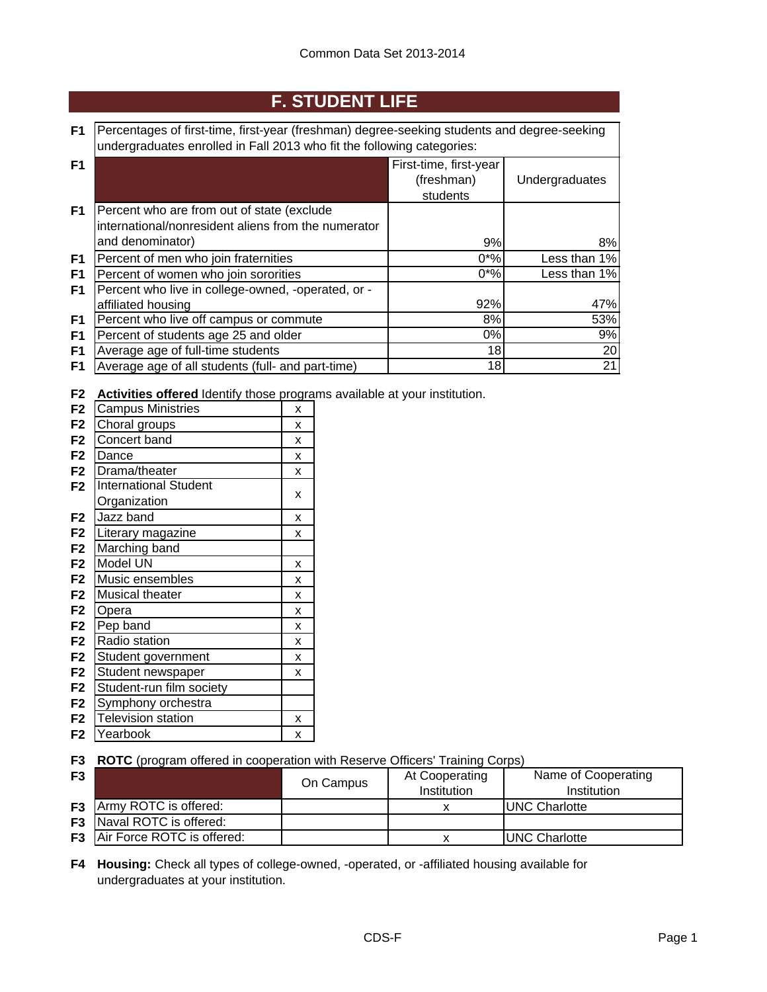# **F. STUDENT LIFE**

| F1   Percentages of first-time, first-year (freshman) degree-seeking students and degree-seeking |
|--------------------------------------------------------------------------------------------------|
| undergraduates enrolled in Fall 2013 who fit the following categories:                           |

| F <sub>1</sub> |                                                     | First-time, first-year |                |
|----------------|-----------------------------------------------------|------------------------|----------------|
|                |                                                     | (freshman)             | Undergraduates |
|                |                                                     | students               |                |
| F <sub>1</sub> | Percent who are from out of state (exclude          |                        |                |
|                | international/nonresident aliens from the numerator |                        |                |
|                | and denominator)                                    | 9%                     | 8%             |
| F <sub>1</sub> | Percent of men who join fraternities                | $0^{\ast}\%$           | Less than 1%   |
| F <sub>1</sub> | Percent of women who join sororities                | $0*%$                  | Less than 1%   |
| F1             | Percent who live in college-owned, -operated, or -  |                        |                |
|                | affiliated housing                                  | 92%                    | 47%            |
| F1             | Percent who live off campus or commute              | 8%                     | 53%            |
| F <sub>1</sub> | Percent of students age 25 and older                | $0\%$                  | 9%             |
| F <sub>1</sub> | Average age of full-time students                   | 18                     | 20             |
| F <sub>1</sub> | Average age of all students (full- and part-time)   | 18                     | 21             |

**F2 Activities offered** Identify those programs available at your institution.

| F <sub>2</sub> | <b>Campus Ministries</b>     | X |
|----------------|------------------------------|---|
| F <sub>2</sub> | Choral groups                | х |
| F <sub>2</sub> | Concert band                 | x |
| F <sub>2</sub> | Dance                        | Χ |
| F <sub>2</sub> | Drama/theater                | x |
| F <sub>2</sub> | <b>International Student</b> |   |
|                | Organization                 | x |
| F <sub>2</sub> | Jazz band                    | x |
| F <sub>2</sub> | Literary magazine            | x |
| F <sub>2</sub> | Marching band                |   |
| F <sub>2</sub> | Model UN                     | x |
| F <sub>2</sub> | Music ensembles              | x |
| F <sub>2</sub> | Musical theater              | x |
| F <sub>2</sub> | Opera                        | x |
| F <sub>2</sub> | Pep band                     | X |
| F <sub>2</sub> | Radio station                | x |
| F <sub>2</sub> | Student government           | x |
| F <sub>2</sub> | Student newspaper            | x |
| F <sub>2</sub> | Student-run film society     |   |
| F <sub>2</sub> | Symphony orchestra           |   |
| F <sub>2</sub> | <b>Television station</b>    | х |
| F2             | Yearbook                     | x |

**F3 ROTC** (program offered in cooperation with Reserve Officers' Training Corps)

| F <sub>3</sub> |                                      | On Campus | At Cooperating<br><b>Institution</b> | Name of Cooperating<br>Institution |
|----------------|--------------------------------------|-----------|--------------------------------------|------------------------------------|
|                | <b>F3</b> Army ROTC is offered:      |           |                                      | UNC Charlotte                      |
|                | <b>F3</b> Naval ROTC is offered:     |           |                                      |                                    |
|                | <b>F3</b> Air Force ROTC is offered: |           |                                      | <b>IUNC Charlotte</b>              |

**F4 Housing:** Check all types of college-owned, -operated, or -affiliated housing available for undergraduates at your institution.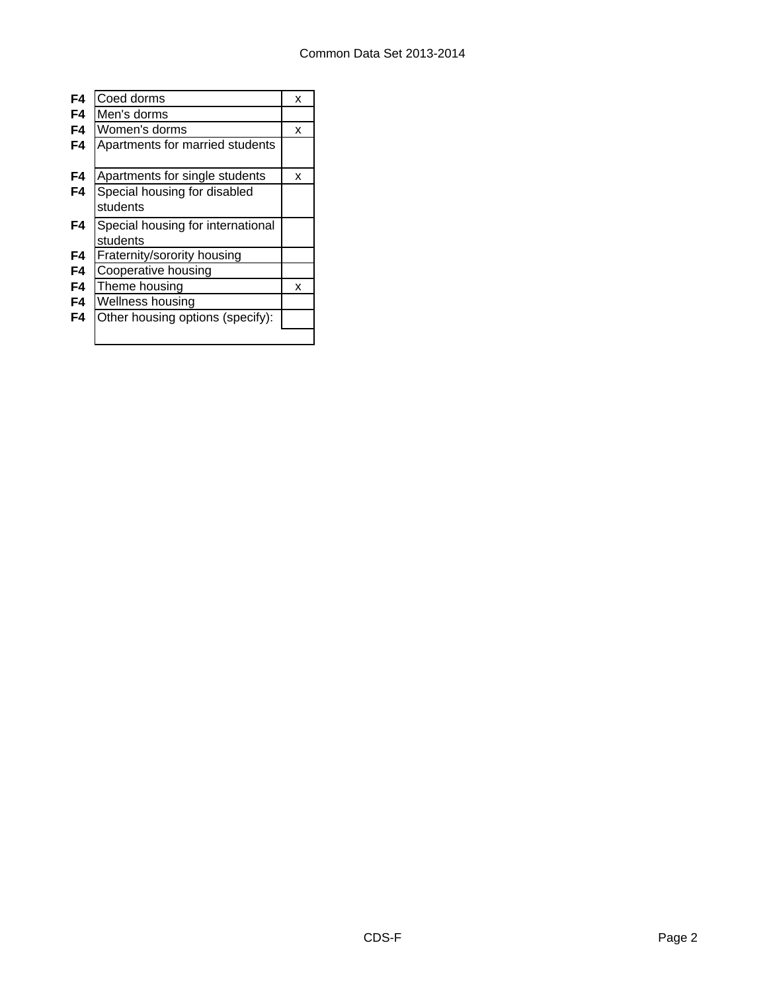| F4 | Coed dorms                        | x |
|----|-----------------------------------|---|
| F4 | Men's dorms                       |   |
| F4 | Women's dorms                     | x |
| F4 | Apartments for married students   |   |
|    |                                   |   |
| F4 | Apartments for single students    | x |
| F4 | Special housing for disabled      |   |
|    | students                          |   |
| F4 | Special housing for international |   |
|    | students                          |   |
| F4 | Fraternity/sorority housing       |   |
| F4 | Cooperative housing               |   |
| F4 | Theme housing                     | x |
| F4 | Wellness housing                  |   |
| F4 | Other housing options (specify):  |   |
|    |                                   |   |
|    |                                   |   |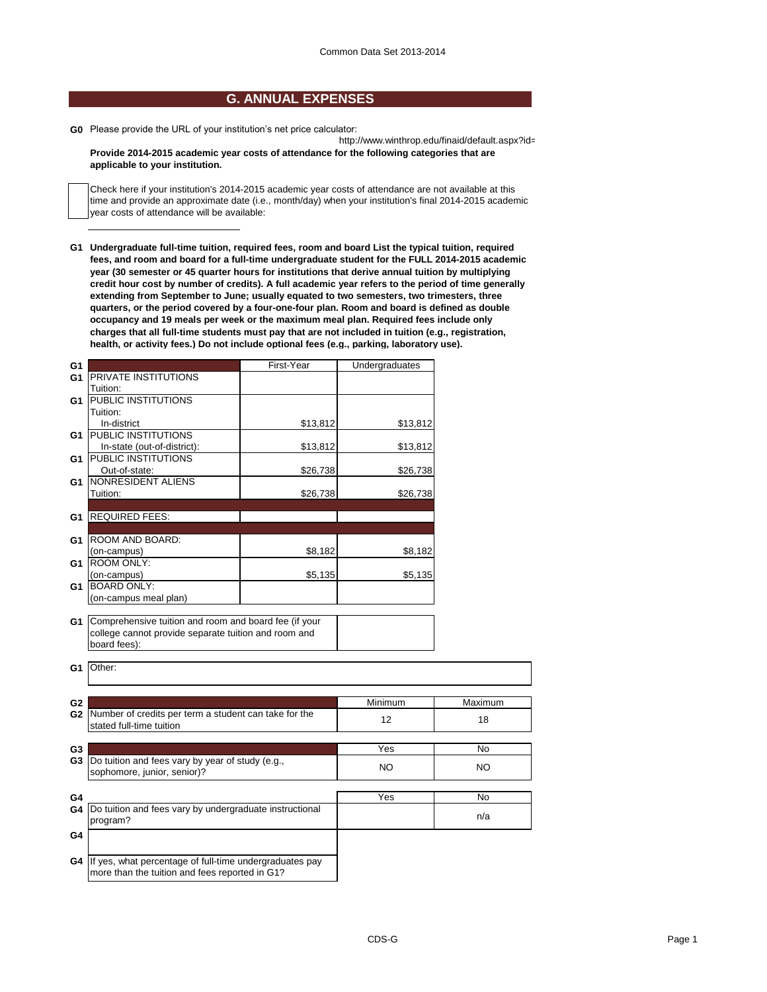#### **G. ANNUAL EXPENSES**

**G0** Please provide the URL of your institution's net price calculator:

http://www.winthrop.edu/finaid/default.aspx?id= **Provide 2014-2015 academic year costs of attendance for the following categories that are applicable to your institution.**

Check here if your institution's 2014-2015 academic year costs of attendance are not available at this time and provide an approximate date (i.e., month/day) when your institution's final 2014-2015 academic year costs of attendance will be available:

**G1 Undergraduate full-time tuition, required fees, room and board List the typical tuition, required fees, and room and board for a full-time undergraduate student for the FULL 2014-2015 academic year (30 semester or 45 quarter hours for institutions that derive annual tuition by multiplying credit hour cost by number of credits). A full academic year refers to the period of time generally extending from September to June; usually equated to two semesters, two trimesters, three quarters, or the period covered by a four-one-four plan. Room and board is defined as double occupancy and 19 meals per week or the maximum meal plan. Required fees include only charges that all full-time students must pay that are not included in tuition (e.g., registration, health, or activity fees.) Do not include optional fees (e.g., parking, laboratory use).**

| G1             |                                                                                                                               | First-Year | Undergraduates |         |
|----------------|-------------------------------------------------------------------------------------------------------------------------------|------------|----------------|---------|
| G1             | PRIVATE INSTITUTIONS                                                                                                          |            |                |         |
|                | Tuition:                                                                                                                      |            |                |         |
| G1             | PUBLIC INSTITUTIONS                                                                                                           |            |                |         |
|                | Tuition:                                                                                                                      |            |                |         |
|                | In-district                                                                                                                   | \$13,812   | \$13,812       |         |
| G <sub>1</sub> | PUBLIC INSTITUTIONS                                                                                                           |            |                |         |
|                | In-state (out-of-district):                                                                                                   | \$13,812   | \$13,812       |         |
| G1             | PUBLIC INSTITUTIONS                                                                                                           |            |                |         |
|                | Out-of-state:                                                                                                                 | \$26,738   | \$26,738       |         |
| G1             | <b>NONRESIDENT ALIENS</b>                                                                                                     |            |                |         |
|                | Tuition:                                                                                                                      | \$26,738   | \$26,738       |         |
|                |                                                                                                                               |            |                |         |
| G1             | <b>REQUIRED FEES:</b>                                                                                                         |            |                |         |
|                |                                                                                                                               |            |                |         |
| G1             | ROOM AND BOARD:                                                                                                               |            |                |         |
|                | (on-campus)                                                                                                                   | \$8,182    | \$8,182        |         |
| G1             | ROOM ONLY:                                                                                                                    |            |                |         |
|                | (on-campus)                                                                                                                   | \$5,135    | \$5,135        |         |
| G1             | <b>BOARD ONLY:</b>                                                                                                            |            |                |         |
|                | (on-campus meal plan)                                                                                                         |            |                |         |
| G1             | Comprehensive tuition and room and board fee (if your<br>college cannot provide separate tuition and room and<br>board fees): |            |                |         |
| G1             | Other:                                                                                                                        |            |                |         |
| G <sub>2</sub> |                                                                                                                               |            | Minimum        | Maximum |
| G2             | Number of credits per term a student can take for the                                                                         |            |                |         |
|                | stated full-time tuition                                                                                                      |            | 12             | 18      |
|                |                                                                                                                               |            |                |         |
| G <sub>3</sub> |                                                                                                                               |            | Yes            | No      |
| G3             | Do tuition and fees vary by year of study (e.g.,                                                                              |            | NO.            | NO.     |
|                | sophomore, junior, senior)?                                                                                                   |            |                |         |
|                |                                                                                                                               |            |                |         |
| G4             |                                                                                                                               |            | Yes            | No      |
| G4             | Do tuition and fees vary by undergraduate instructional                                                                       |            |                |         |
|                | program?                                                                                                                      |            |                | n/a     |
| G4             |                                                                                                                               |            |                |         |
|                |                                                                                                                               |            |                |         |
| G4             | If yes, what percentage of full-time undergraduates pay                                                                       |            |                |         |
|                | more than the tuition and fees reported in G1?                                                                                |            |                |         |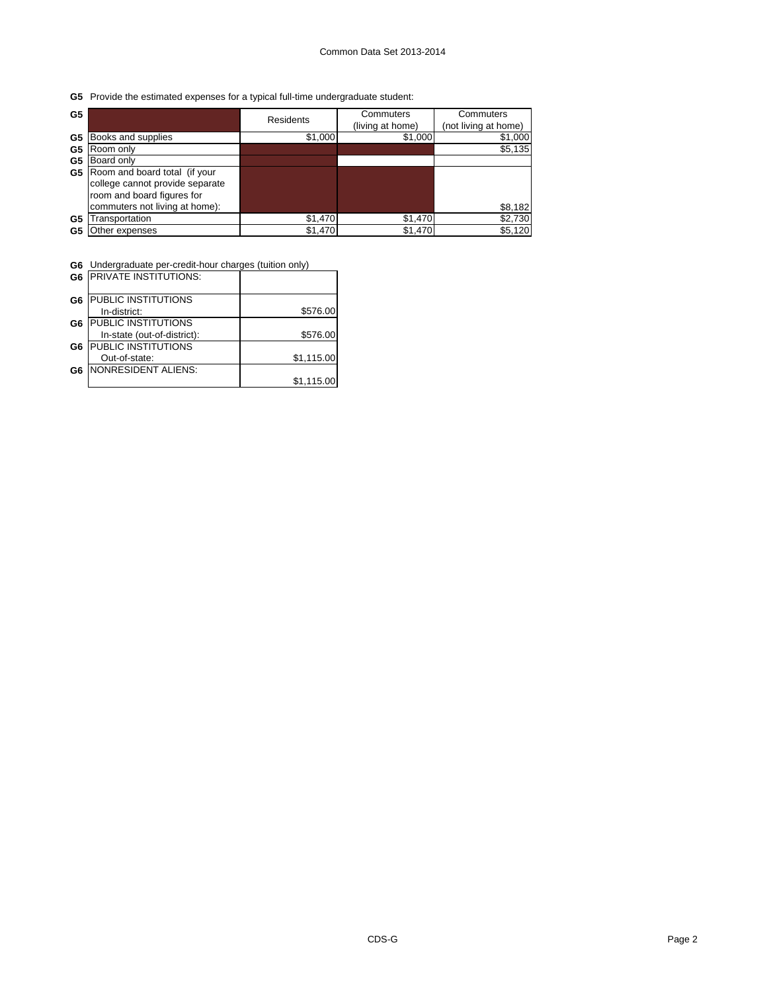**G5** Provide the estimated expenses for a typical full-time undergraduate student:

| G5 |                                 | Residents | Commuters<br>(living at home) | Commuters<br>(not living at home) |
|----|---------------------------------|-----------|-------------------------------|-----------------------------------|
| G5 | Books and supplies              | \$1,000   | \$1,000                       | \$1,000                           |
| G5 | Room only                       |           |                               | \$5,135                           |
| G5 | Board only                      |           |                               |                                   |
| G5 | Room and board total (if your   |           |                               |                                   |
|    | college cannot provide separate |           |                               |                                   |
|    | room and board figures for      |           |                               |                                   |
|    | commuters not living at home):  |           |                               | \$8,182                           |
| G5 | <b>Transportation</b>           | \$1,470   | \$1,470                       | \$2,730                           |
| G5 | Other expenses                  | \$1,470   | \$1,470                       | \$5,120                           |

 $\overline{\phantom{a}}$ 

**G6** Undergraduate per-credit-hour charges (tuition only)

|                | <b>G6 PRIVATE INSTITUTIONS:</b> |            |
|----------------|---------------------------------|------------|
| G6             | PUBLIC INSTITUTIONS             |            |
|                | In-district:                    | \$576.00   |
| G6             | <b>PUBLIC INSTITUTIONS</b>      |            |
|                | In-state (out-of-district):     | \$576.00   |
| G <sub>6</sub> | PUBLIC INSTITUTIONS             |            |
|                | Out-of-state:                   | \$1,115.00 |
| G6             | NONRESIDENT ALIENS:             |            |
|                |                                 | \$1,115.00 |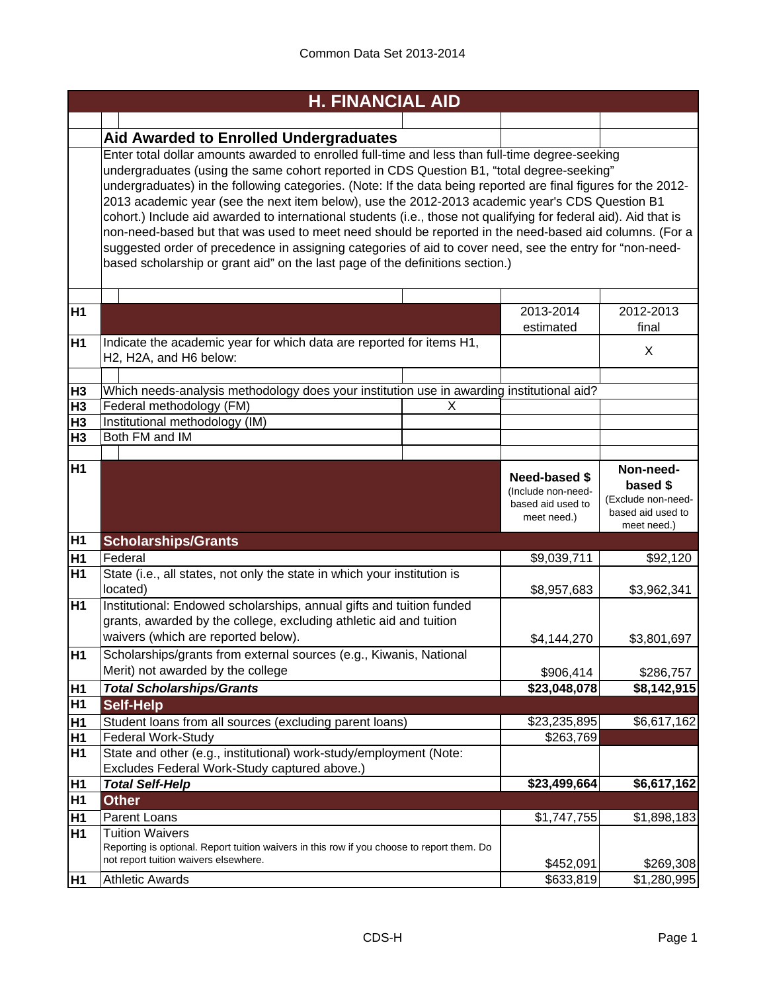|                      | <b>H. FINANCIAL AID</b>                                                                                                                                                                                                                                                                                                                                                                                                                                                                                                                                                                                                                                                                                                                                                                                                                      |                                                                 |                                             |
|----------------------|----------------------------------------------------------------------------------------------------------------------------------------------------------------------------------------------------------------------------------------------------------------------------------------------------------------------------------------------------------------------------------------------------------------------------------------------------------------------------------------------------------------------------------------------------------------------------------------------------------------------------------------------------------------------------------------------------------------------------------------------------------------------------------------------------------------------------------------------|-----------------------------------------------------------------|---------------------------------------------|
|                      |                                                                                                                                                                                                                                                                                                                                                                                                                                                                                                                                                                                                                                                                                                                                                                                                                                              |                                                                 |                                             |
|                      | <b>Aid Awarded to Enrolled Undergraduates</b>                                                                                                                                                                                                                                                                                                                                                                                                                                                                                                                                                                                                                                                                                                                                                                                                |                                                                 |                                             |
|                      | Enter total dollar amounts awarded to enrolled full-time and less than full-time degree-seeking<br>undergraduates (using the same cohort reported in CDS Question B1, "total degree-seeking"<br>undergraduates) in the following categories. (Note: If the data being reported are final figures for the 2012-<br>2013 academic year (see the next item below), use the 2012-2013 academic year's CDS Question B1<br>cohort.) Include aid awarded to international students (i.e., those not qualifying for federal aid). Aid that is<br>non-need-based but that was used to meet need should be reported in the need-based aid columns. (For a<br>suggested order of precedence in assigning categories of aid to cover need, see the entry for "non-need-<br>based scholarship or grant aid" on the last page of the definitions section.) |                                                                 |                                             |
|                      |                                                                                                                                                                                                                                                                                                                                                                                                                                                                                                                                                                                                                                                                                                                                                                                                                                              |                                                                 |                                             |
| H <sub>1</sub>       |                                                                                                                                                                                                                                                                                                                                                                                                                                                                                                                                                                                                                                                                                                                                                                                                                                              | 2013-2014                                                       | 2012-2013                                   |
|                      |                                                                                                                                                                                                                                                                                                                                                                                                                                                                                                                                                                                                                                                                                                                                                                                                                                              | estimated                                                       | final                                       |
| H <sub>1</sub>       | Indicate the academic year for which data are reported for items H1,<br>H2, H2A, and H6 below:                                                                                                                                                                                                                                                                                                                                                                                                                                                                                                                                                                                                                                                                                                                                               |                                                                 | X                                           |
|                      |                                                                                                                                                                                                                                                                                                                                                                                                                                                                                                                                                                                                                                                                                                                                                                                                                                              |                                                                 |                                             |
| H <sub>3</sub>       | Which needs-analysis methodology does your institution use in awarding institutional aid?                                                                                                                                                                                                                                                                                                                                                                                                                                                                                                                                                                                                                                                                                                                                                    |                                                                 |                                             |
| H <sub>3</sub>       | Federal methodology (FM)<br>X                                                                                                                                                                                                                                                                                                                                                                                                                                                                                                                                                                                                                                                                                                                                                                                                                |                                                                 |                                             |
| H <sub>3</sub>       | Institutional methodology (IM)                                                                                                                                                                                                                                                                                                                                                                                                                                                                                                                                                                                                                                                                                                                                                                                                               |                                                                 |                                             |
| H <sub>3</sub>       | Both FM and IM                                                                                                                                                                                                                                                                                                                                                                                                                                                                                                                                                                                                                                                                                                                                                                                                                               |                                                                 |                                             |
|                      |                                                                                                                                                                                                                                                                                                                                                                                                                                                                                                                                                                                                                                                                                                                                                                                                                                              |                                                                 |                                             |
| H <sub>1</sub>       |                                                                                                                                                                                                                                                                                                                                                                                                                                                                                                                                                                                                                                                                                                                                                                                                                                              | <b>Need-based \$</b><br>(Include non-need-<br>based aid used to | Non-need-<br>based \$<br>(Exclude non-need- |
|                      |                                                                                                                                                                                                                                                                                                                                                                                                                                                                                                                                                                                                                                                                                                                                                                                                                                              | meet need.)                                                     | based aid used to<br>meet need.)            |
| H <sub>1</sub>       | <b>Scholarships/Grants</b>                                                                                                                                                                                                                                                                                                                                                                                                                                                                                                                                                                                                                                                                                                                                                                                                                   |                                                                 |                                             |
| H <sub>1</sub>       | Federal                                                                                                                                                                                                                                                                                                                                                                                                                                                                                                                                                                                                                                                                                                                                                                                                                                      | \$9,039,711                                                     | \$92,120                                    |
| H1                   | State (i.e., all states, not only the state in which your institution is<br>located)                                                                                                                                                                                                                                                                                                                                                                                                                                                                                                                                                                                                                                                                                                                                                         | \$8,957,683                                                     | \$3,962,341                                 |
| H <sub>1</sub>       | Institutional: Endowed scholarships, annual gifts and tuition funded<br>grants, awarded by the college, excluding athletic aid and tuition<br>waivers (which are reported below).                                                                                                                                                                                                                                                                                                                                                                                                                                                                                                                                                                                                                                                            | \$4,144,270                                                     | \$3,801,697                                 |
| H <sub>1</sub>       | Scholarships/grants from external sources (e.g., Kiwanis, National<br>Merit) not awarded by the college                                                                                                                                                                                                                                                                                                                                                                                                                                                                                                                                                                                                                                                                                                                                      |                                                                 |                                             |
|                      |                                                                                                                                                                                                                                                                                                                                                                                                                                                                                                                                                                                                                                                                                                                                                                                                                                              | \$906,414<br>\$23,048,078                                       | \$286,757<br>\$8,142,915                    |
| H1<br>H <sub>1</sub> | <b>Total Scholarships/Grants</b>                                                                                                                                                                                                                                                                                                                                                                                                                                                                                                                                                                                                                                                                                                                                                                                                             |                                                                 |                                             |
|                      | <b>Self-Help</b>                                                                                                                                                                                                                                                                                                                                                                                                                                                                                                                                                                                                                                                                                                                                                                                                                             |                                                                 | \$6,617,162                                 |
| H1<br>H <sub>1</sub> | Student loans from all sources (excluding parent loans)<br>Federal Work-Study                                                                                                                                                                                                                                                                                                                                                                                                                                                                                                                                                                                                                                                                                                                                                                | \$23,235,895<br>\$263,769                                       |                                             |
| H <sub>1</sub>       | State and other (e.g., institutional) work-study/employment (Note:                                                                                                                                                                                                                                                                                                                                                                                                                                                                                                                                                                                                                                                                                                                                                                           |                                                                 |                                             |
|                      | Excludes Federal Work-Study captured above.)                                                                                                                                                                                                                                                                                                                                                                                                                                                                                                                                                                                                                                                                                                                                                                                                 |                                                                 |                                             |
| H <sub>1</sub>       | <b>Total Self-Help</b>                                                                                                                                                                                                                                                                                                                                                                                                                                                                                                                                                                                                                                                                                                                                                                                                                       | \$23,499,664                                                    | \$6,617,162                                 |
| H1                   | <b>Other</b>                                                                                                                                                                                                                                                                                                                                                                                                                                                                                                                                                                                                                                                                                                                                                                                                                                 |                                                                 |                                             |
| H1                   | Parent Loans                                                                                                                                                                                                                                                                                                                                                                                                                                                                                                                                                                                                                                                                                                                                                                                                                                 | \$1,747,755                                                     | \$1,898,183                                 |
| H <sub>1</sub>       | <b>Tuition Waivers</b><br>Reporting is optional. Report tuition waivers in this row if you choose to report them. Do<br>not report tuition waivers elsewhere.                                                                                                                                                                                                                                                                                                                                                                                                                                                                                                                                                                                                                                                                                | \$452,091<br>\$633,819                                          | \$269,308<br>$\overline{$}1,280,995$        |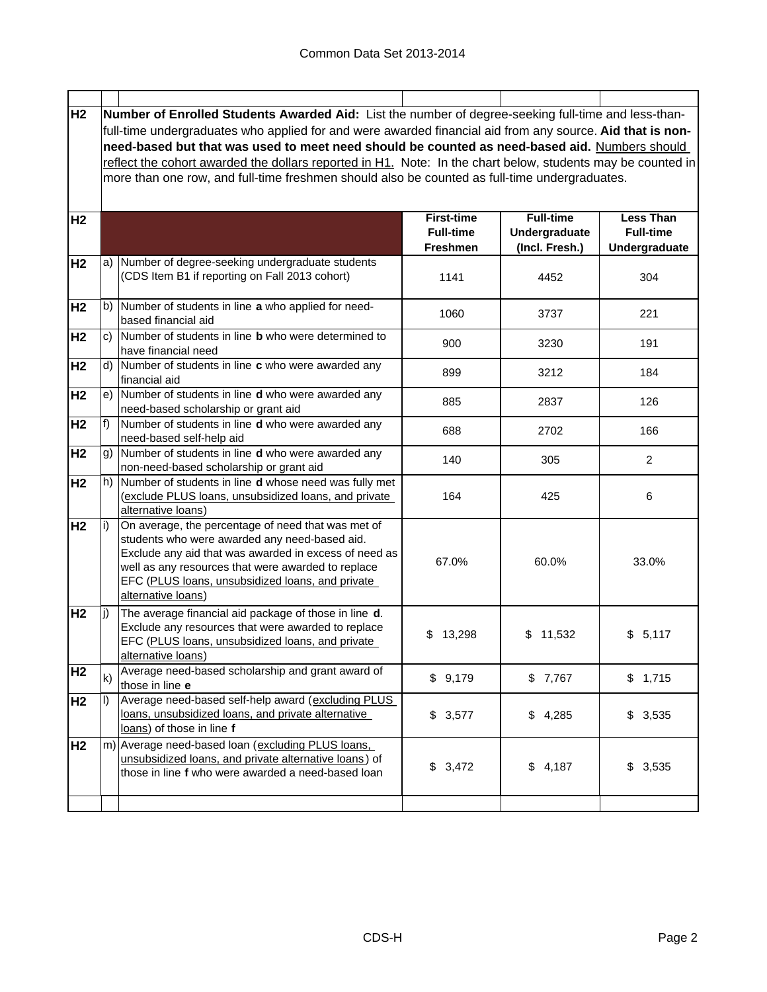| H <sub>2</sub> |     | Number of Enrolled Students Awarded Aid: List the number of degree-seeking full-time and less-than-         |                   |                  |                  |  |
|----------------|-----|-------------------------------------------------------------------------------------------------------------|-------------------|------------------|------------------|--|
|                |     | full-time undergraduates who applied for and were awarded financial aid from any source. Aid that is non-   |                   |                  |                  |  |
|                |     | need-based but that was used to meet need should be counted as need-based aid. Numbers should               |                   |                  |                  |  |
|                |     | reflect the cohort awarded the dollars reported in H1. Note: In the chart below, students may be counted in |                   |                  |                  |  |
|                |     | more than one row, and full-time freshmen should also be counted as full-time undergraduates.               |                   |                  |                  |  |
|                |     |                                                                                                             |                   |                  |                  |  |
| H <sub>2</sub> |     |                                                                                                             | <b>First-time</b> | <b>Full-time</b> | <b>Less Than</b> |  |
|                |     |                                                                                                             | <b>Full-time</b>  | Undergraduate    | <b>Full-time</b> |  |
|                |     |                                                                                                             | <b>Freshmen</b>   | (Incl. Fresh.)   | Undergraduate    |  |
| H <sub>2</sub> |     | a) Number of degree-seeking undergraduate students                                                          |                   |                  |                  |  |
|                |     | (CDS Item B1 if reporting on Fall 2013 cohort)                                                              | 1141              | 4452             | 304              |  |
|                |     |                                                                                                             |                   |                  |                  |  |
| H <sub>2</sub> |     | b) Number of students in line a who applied for need-                                                       | 1060              | 3737             | 221              |  |
|                |     | based financial aid                                                                                         |                   |                  |                  |  |
| H <sub>2</sub> |     | c) Number of students in line <b>b</b> who were determined to                                               | 900               | 3230             | 191              |  |
|                |     | have financial need                                                                                         |                   |                  |                  |  |
| H <sub>2</sub> |     | d) Number of students in line $c$ who were awarded any                                                      | 899               | 3212             | 184              |  |
|                |     | financial aid                                                                                               |                   |                  |                  |  |
| H <sub>2</sub> |     | e) Number of students in line <b>d</b> who were awarded any<br>need-based scholarship or grant aid          | 885               | 2837             | 126              |  |
| H <sub>2</sub> | f)  | Number of students in line d who were awarded any                                                           |                   |                  |                  |  |
|                |     | need-based self-help aid                                                                                    | 688               | 2702             | 166              |  |
| H <sub>2</sub> | g)  | Number of students in line d who were awarded any                                                           |                   |                  |                  |  |
|                |     | non-need-based scholarship or grant aid                                                                     | 140               | 305              | $\overline{c}$   |  |
| H <sub>2</sub> |     | h) Number of students in line d whose need was fully met                                                    |                   |                  |                  |  |
|                |     | (exclude PLUS loans, unsubsidized loans, and private                                                        | 164               | 425              | 6                |  |
|                |     | alternative loans)                                                                                          |                   |                  |                  |  |
| H <sub>2</sub> | i)  | On average, the percentage of need that was met of                                                          |                   |                  |                  |  |
|                |     | students who were awarded any need-based aid.<br>Exclude any aid that was awarded in excess of need as      |                   |                  |                  |  |
|                |     | well as any resources that were awarded to replace                                                          | 67.0%             | 60.0%            | 33.0%            |  |
|                |     | EFC (PLUS loans, unsubsidized loans, and private                                                            |                   |                  |                  |  |
|                |     | alternative loans)                                                                                          |                   |                  |                  |  |
| H <sub>2</sub> | li) | The average financial aid package of those in line d.                                                       |                   |                  |                  |  |
|                |     | Exclude any resources that were awarded to replace                                                          |                   |                  |                  |  |
|                |     | EFC (PLUS loans, unsubsidized loans, and private                                                            | \$<br>13,298      | \$11,532         | \$<br>5,117      |  |
|                |     | <u>alternative loans)</u>                                                                                   |                   |                  |                  |  |
| H <sub>2</sub> | k)  | Average need-based scholarship and grant award of                                                           | \$9,179           | \$7,767          | \$1,715          |  |
|                |     | those in line e                                                                                             |                   |                  |                  |  |
| H <sub>2</sub> |     | Average need-based self-help award (excluding PLUS<br>loans, unsubsidized loans, and private alternative    |                   |                  |                  |  |
|                |     | loans) of those in line f                                                                                   | \$3,577           | \$4,285          | \$3,535          |  |
| H <sub>2</sub> |     | m) Average need-based loan (excluding PLUS loans,                                                           |                   |                  |                  |  |
|                |     | unsubsidized loans, and private alternative loans) of                                                       |                   |                  |                  |  |
|                |     | those in line f who were awarded a need-based loan                                                          | \$3,472           | \$4,187          | \$3,535          |  |
|                |     |                                                                                                             |                   |                  |                  |  |
|                |     |                                                                                                             |                   |                  |                  |  |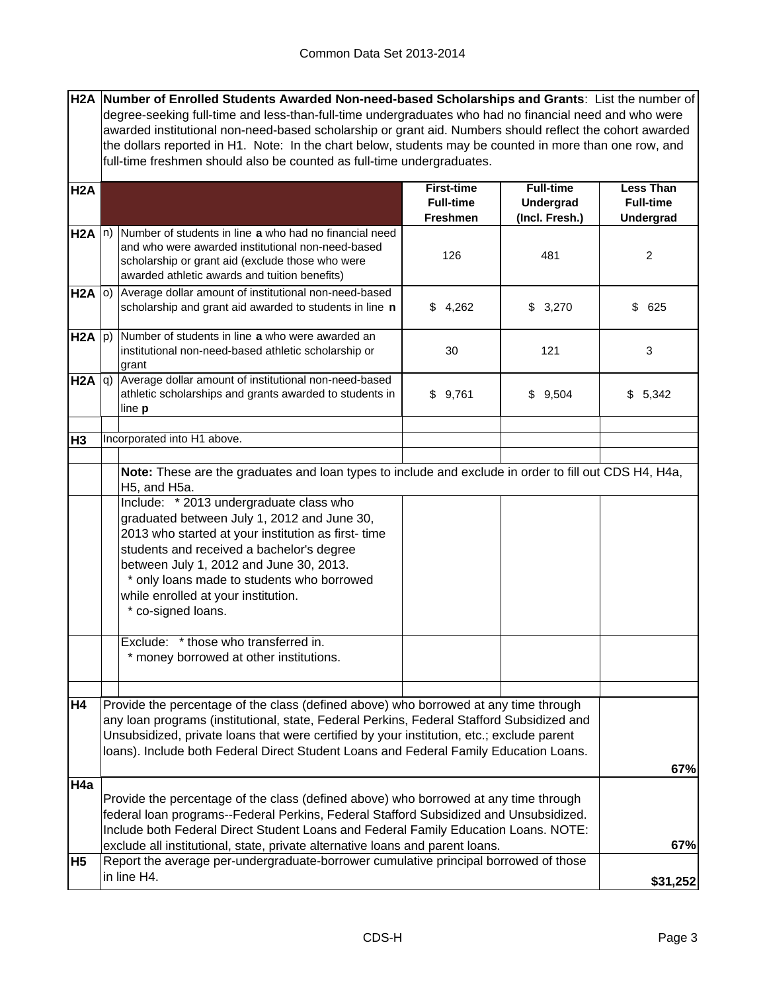**H2A Number of Enrolled Students Awarded Non-need-based Scholarships and Grants**: List the number of degree-seeking full-time and less-than-full-time undergraduates who had no financial need and who were awarded institutional non-need-based scholarship or grant aid. Numbers should reflect the cohort awarded the dollars reported in H1. Note: In the chart below, students may be counted in more than one row, and full-time freshmen should also be counted as full-time undergraduates.

| H <sub>2</sub> A  |                                                                                                                                                                                                                                                                      |                                                                                                                                                                                                                                                                                                                                                                         | <b>First-time</b><br><b>Full-time</b><br><b>Freshmen</b> | <b>Full-time</b><br>Undergrad<br>(Incl. Fresh.) | <b>Less Than</b><br><b>Full-time</b><br>Undergrad |
|-------------------|----------------------------------------------------------------------------------------------------------------------------------------------------------------------------------------------------------------------------------------------------------------------|-------------------------------------------------------------------------------------------------------------------------------------------------------------------------------------------------------------------------------------------------------------------------------------------------------------------------------------------------------------------------|----------------------------------------------------------|-------------------------------------------------|---------------------------------------------------|
| $H2A \n n)$       |                                                                                                                                                                                                                                                                      | Number of students in line a who had no financial need<br>and who were awarded institutional non-need-based<br>scholarship or grant aid (exclude those who were<br>awarded athletic awards and tuition benefits)                                                                                                                                                        | 126                                                      | 481                                             | $\overline{2}$                                    |
| H <sub>2</sub> A  | o)                                                                                                                                                                                                                                                                   | Average dollar amount of institutional non-need-based<br>scholarship and grant aid awarded to students in line n                                                                                                                                                                                                                                                        | \$4,262                                                  | \$3,270                                         | \$625                                             |
| $H2A$ $ p\rangle$ |                                                                                                                                                                                                                                                                      | Number of students in line a who were awarded an<br>institutional non-need-based athletic scholarship or<br>grant                                                                                                                                                                                                                                                       | 30<br>121<br>\$9,761<br>\$9,504                          |                                                 | 3                                                 |
| H2A               | q)                                                                                                                                                                                                                                                                   | Average dollar amount of institutional non-need-based<br>athletic scholarships and grants awarded to students in<br>line <b>p</b>                                                                                                                                                                                                                                       |                                                          |                                                 | \$5,342                                           |
| H <sub>3</sub>    |                                                                                                                                                                                                                                                                      | Incorporated into H1 above.                                                                                                                                                                                                                                                                                                                                             |                                                          |                                                 |                                                   |
|                   |                                                                                                                                                                                                                                                                      | Note: These are the graduates and loan types to include and exclude in order to fill out CDS H4, H4a,<br>H5, and H5a.                                                                                                                                                                                                                                                   |                                                          |                                                 |                                                   |
|                   |                                                                                                                                                                                                                                                                      | Include: * 2013 undergraduate class who<br>graduated between July 1, 2012 and June 30,<br>2013 who started at your institution as first-time<br>students and received a bachelor's degree<br>between July 1, 2012 and June 30, 2013.<br>* only loans made to students who borrowed<br>while enrolled at your institution.<br>* co-signed loans.                         |                                                          |                                                 |                                                   |
|                   |                                                                                                                                                                                                                                                                      | Exclude: * those who transferred in.<br>* money borrowed at other institutions.                                                                                                                                                                                                                                                                                         |                                                          |                                                 |                                                   |
| <b>H4</b>         |                                                                                                                                                                                                                                                                      | Provide the percentage of the class (defined above) who borrowed at any time through<br>any loan programs (institutional, state, Federal Perkins, Federal Stafford Subsidized and<br>Unsubsidized, private loans that were certified by your institution, etc.; exclude parent<br>loans). Include both Federal Direct Student Loans and Federal Family Education Loans. |                                                          |                                                 | 67%                                               |
| H4a               | Provide the percentage of the class (defined above) who borrowed at any time through<br>federal loan programs--Federal Perkins, Federal Stafford Subsidized and Unsubsidized.<br>Include both Federal Direct Student Loans and Federal Family Education Loans. NOTE: | 67%                                                                                                                                                                                                                                                                                                                                                                     |                                                          |                                                 |                                                   |
| H <sub>5</sub>    |                                                                                                                                                                                                                                                                      | exclude all institutional, state, private alternative loans and parent loans.<br>Report the average per-undergraduate-borrower cumulative principal borrowed of those                                                                                                                                                                                                   |                                                          |                                                 |                                                   |
|                   |                                                                                                                                                                                                                                                                      | in line H4.                                                                                                                                                                                                                                                                                                                                                             |                                                          |                                                 | \$31,252                                          |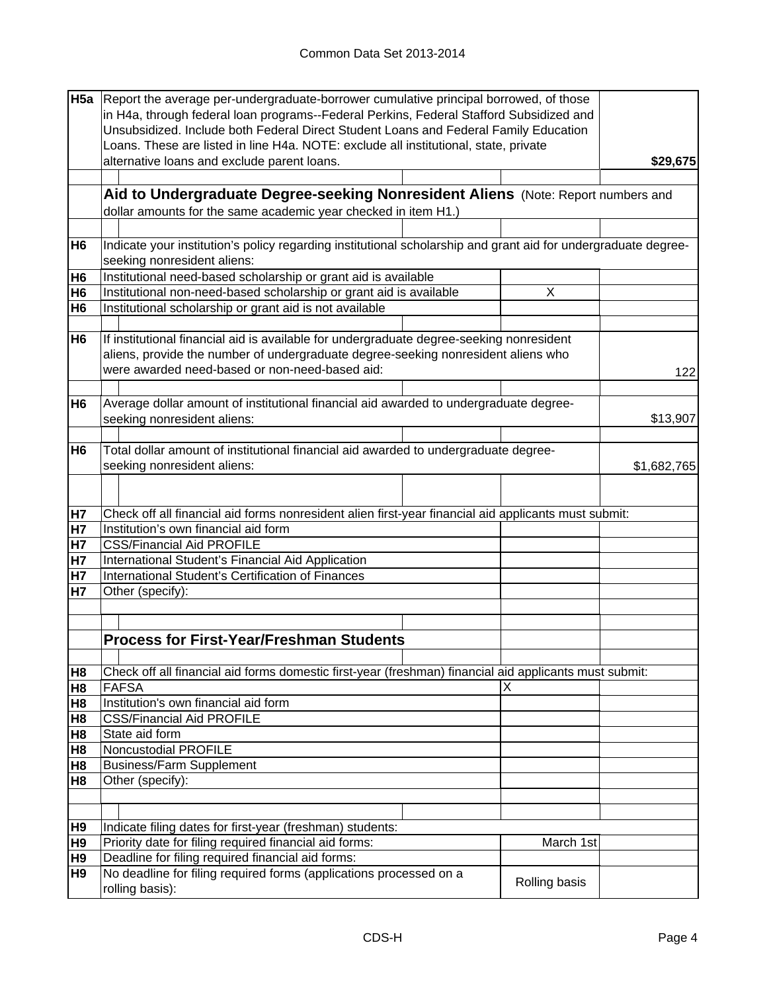|                | H5a Report the average per-undergraduate-borrower cumulative principal borrowed, of those                      |               |             |  |  |  |
|----------------|----------------------------------------------------------------------------------------------------------------|---------------|-------------|--|--|--|
|                | in H4a, through federal loan programs--Federal Perkins, Federal Stafford Subsidized and                        |               |             |  |  |  |
|                | Unsubsidized. Include both Federal Direct Student Loans and Federal Family Education                           |               |             |  |  |  |
|                | Loans. These are listed in line H4a. NOTE: exclude all institutional, state, private                           |               |             |  |  |  |
|                | alternative loans and exclude parent loans.                                                                    |               | \$29,675    |  |  |  |
|                |                                                                                                                |               |             |  |  |  |
|                | Aid to Undergraduate Degree-seeking Nonresident Aliens (Note: Report numbers and                               |               |             |  |  |  |
|                | dollar amounts for the same academic year checked in item H1.)                                                 |               |             |  |  |  |
|                |                                                                                                                |               |             |  |  |  |
| H <sub>6</sub> | Indicate your institution's policy regarding institutional scholarship and grant aid for undergraduate degree- |               |             |  |  |  |
|                | seeking nonresident aliens:                                                                                    |               |             |  |  |  |
|                |                                                                                                                |               |             |  |  |  |
| H <sub>6</sub> | Institutional need-based scholarship or grant aid is available                                                 | X             |             |  |  |  |
| H <sub>6</sub> | Institutional non-need-based scholarship or grant aid is available                                             |               |             |  |  |  |
| H <sub>6</sub> | Institutional scholarship or grant aid is not available                                                        |               |             |  |  |  |
|                |                                                                                                                |               |             |  |  |  |
| H <sub>6</sub> | If institutional financial aid is available for undergraduate degree-seeking nonresident                       |               |             |  |  |  |
|                | aliens, provide the number of undergraduate degree-seeking nonresident aliens who                              |               |             |  |  |  |
|                | were awarded need-based or non-need-based aid:                                                                 |               | 122         |  |  |  |
|                |                                                                                                                |               |             |  |  |  |
| H <sub>6</sub> | Average dollar amount of institutional financial aid awarded to undergraduate degree-                          |               |             |  |  |  |
|                | seeking nonresident aliens:                                                                                    |               | \$13,907    |  |  |  |
|                |                                                                                                                |               |             |  |  |  |
| H <sub>6</sub> | Total dollar amount of institutional financial aid awarded to undergraduate degree-                            |               |             |  |  |  |
|                | seeking nonresident aliens:                                                                                    |               | \$1,682,765 |  |  |  |
|                |                                                                                                                |               |             |  |  |  |
|                |                                                                                                                |               |             |  |  |  |
| H <sub>7</sub> | Check off all financial aid forms nonresident alien first-year financial aid applicants must submit:           |               |             |  |  |  |
| <b>H7</b>      | Institution's own financial aid form                                                                           |               |             |  |  |  |
| <b>H7</b>      | <b>CSS/Financial Aid PROFILE</b>                                                                               |               |             |  |  |  |
| <b>H7</b>      | International Student's Financial Aid Application                                                              |               |             |  |  |  |
| <b>H7</b>      | International Student's Certification of Finances                                                              |               |             |  |  |  |
| <b>H7</b>      | Other (specify):                                                                                               |               |             |  |  |  |
|                |                                                                                                                |               |             |  |  |  |
|                |                                                                                                                |               |             |  |  |  |
|                | <b>Process for First-Year/Freshman Students</b>                                                                |               |             |  |  |  |
|                |                                                                                                                |               |             |  |  |  |
| H <sub>8</sub> | Check off all financial aid forms domestic first-year (freshman) financial aid applicants must submit:         |               |             |  |  |  |
| H <sub>8</sub> | <b>FAFSA</b>                                                                                                   | X             |             |  |  |  |
| H <sub>8</sub> | Institution's own financial aid form                                                                           |               |             |  |  |  |
| H <sub>8</sub> | <b>CSS/Financial Aid PROFILE</b>                                                                               |               |             |  |  |  |
| H <sub>8</sub> | State aid form                                                                                                 |               |             |  |  |  |
| H <sub>8</sub> | <b>Noncustodial PROFILE</b>                                                                                    |               |             |  |  |  |
| H <sub>8</sub> | <b>Business/Farm Supplement</b>                                                                                |               |             |  |  |  |
| H <sub>8</sub> | Other (specify):                                                                                               |               |             |  |  |  |
|                |                                                                                                                |               |             |  |  |  |
|                |                                                                                                                |               |             |  |  |  |
| H <sub>9</sub> | Indicate filing dates for first-year (freshman) students:                                                      |               |             |  |  |  |
| H <sub>9</sub> | Priority date for filing required financial aid forms:                                                         | March 1st     |             |  |  |  |
| H <sub>9</sub> | Deadline for filing required financial aid forms:                                                              |               |             |  |  |  |
| H <sub>9</sub> | No deadline for filing required forms (applications processed on a                                             |               |             |  |  |  |
|                | rolling basis):                                                                                                | Rolling basis |             |  |  |  |
|                |                                                                                                                |               |             |  |  |  |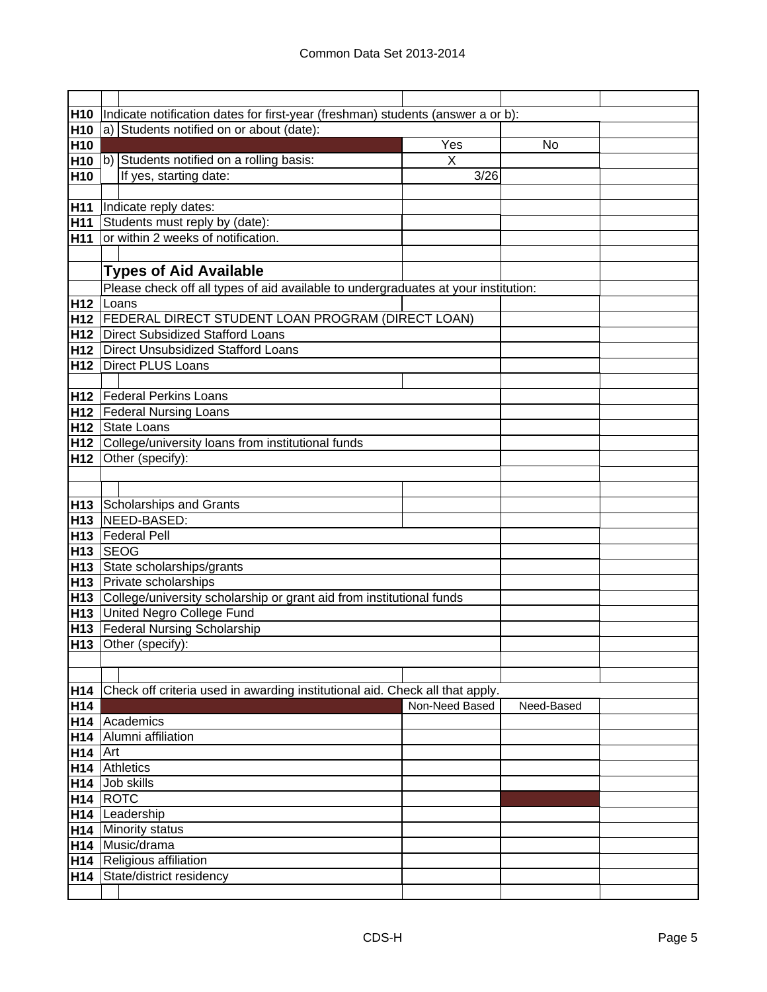| H <sub>10</sub> | Indicate notification dates for first-year (freshman) students (answer a or b):    |                |            |  |  |  |
|-----------------|------------------------------------------------------------------------------------|----------------|------------|--|--|--|
| H <sub>10</sub> | a) Students notified on or about (date):                                           |                |            |  |  |  |
| H <sub>10</sub> |                                                                                    | Yes            | No         |  |  |  |
|                 | H10  b) Students notified on a rolling basis:                                      | $\mathsf{X}$   |            |  |  |  |
| H <sub>10</sub> | If yes, starting date:                                                             | 3/26           |            |  |  |  |
|                 |                                                                                    |                |            |  |  |  |
| H <sub>11</sub> | Indicate reply dates:                                                              |                |            |  |  |  |
| H11             | Students must reply by (date):                                                     |                |            |  |  |  |
| H <sub>11</sub> | or within 2 weeks of notification.                                                 |                |            |  |  |  |
|                 |                                                                                    |                |            |  |  |  |
|                 | <b>Types of Aid Available</b>                                                      |                |            |  |  |  |
|                 | Please check off all types of aid available to undergraduates at your institution: |                |            |  |  |  |
|                 | H <sub>12</sub> Loans                                                              |                |            |  |  |  |
|                 | H12   FEDERAL DIRECT STUDENT LOAN PROGRAM (DIRECT LOAN)                            |                |            |  |  |  |
|                 | H12   Direct Subsidized Stafford Loans                                             |                |            |  |  |  |
|                 | H12   Direct Unsubsidized Stafford Loans                                           |                |            |  |  |  |
|                 | <b>H12</b> Direct PLUS Loans                                                       |                |            |  |  |  |
|                 |                                                                                    |                |            |  |  |  |
|                 | <b>H12</b>   Federal Perkins Loans                                                 |                |            |  |  |  |
|                 | H12 Federal Nursing Loans                                                          |                |            |  |  |  |
|                 | H12 State Loans                                                                    |                |            |  |  |  |
|                 | H12 College/university loans from institutional funds                              |                |            |  |  |  |
| H12             | Other (specify):                                                                   |                |            |  |  |  |
|                 |                                                                                    |                |            |  |  |  |
|                 |                                                                                    |                |            |  |  |  |
|                 | H13 Scholarships and Grants                                                        |                |            |  |  |  |
|                 | H13   NEED-BASED:                                                                  |                |            |  |  |  |
|                 | H13 Federal Pell                                                                   |                |            |  |  |  |
|                 | H <sub>13</sub> SEOG                                                               |                |            |  |  |  |
|                 | H13 State scholarships/grants                                                      |                |            |  |  |  |
|                 | H13 Private scholarships                                                           |                |            |  |  |  |
|                 | H13 College/university scholarship or grant aid from institutional funds           |                |            |  |  |  |
|                 | H13 United Negro College Fund                                                      |                |            |  |  |  |
|                 | H13 Federal Nursing Scholarship                                                    |                |            |  |  |  |
|                 | H13 Other (specify):                                                               |                |            |  |  |  |
|                 |                                                                                    |                |            |  |  |  |
|                 |                                                                                    |                |            |  |  |  |
| H <sub>14</sub> | Check off criteria used in awarding institutional aid. Check all that apply.       |                |            |  |  |  |
| H14             | H14 Academics                                                                      | Non-Need Based | Need-Based |  |  |  |
| H14             | Alumni affiliation                                                                 |                |            |  |  |  |
| $H14$ Art       |                                                                                    |                |            |  |  |  |
|                 | H <sub>14</sub> Athletics                                                          |                |            |  |  |  |
|                 | H <sub>14</sub> Job skills                                                         |                |            |  |  |  |
|                 | $H14$ ROTC                                                                         |                |            |  |  |  |
|                 | H14 Leadership                                                                     |                |            |  |  |  |
|                 | H14 Minority status                                                                |                |            |  |  |  |
|                 | H14 Music/drama                                                                    |                |            |  |  |  |
|                 | H14 Religious affiliation                                                          |                |            |  |  |  |
|                 | H14 State/district residency                                                       |                |            |  |  |  |
|                 |                                                                                    |                |            |  |  |  |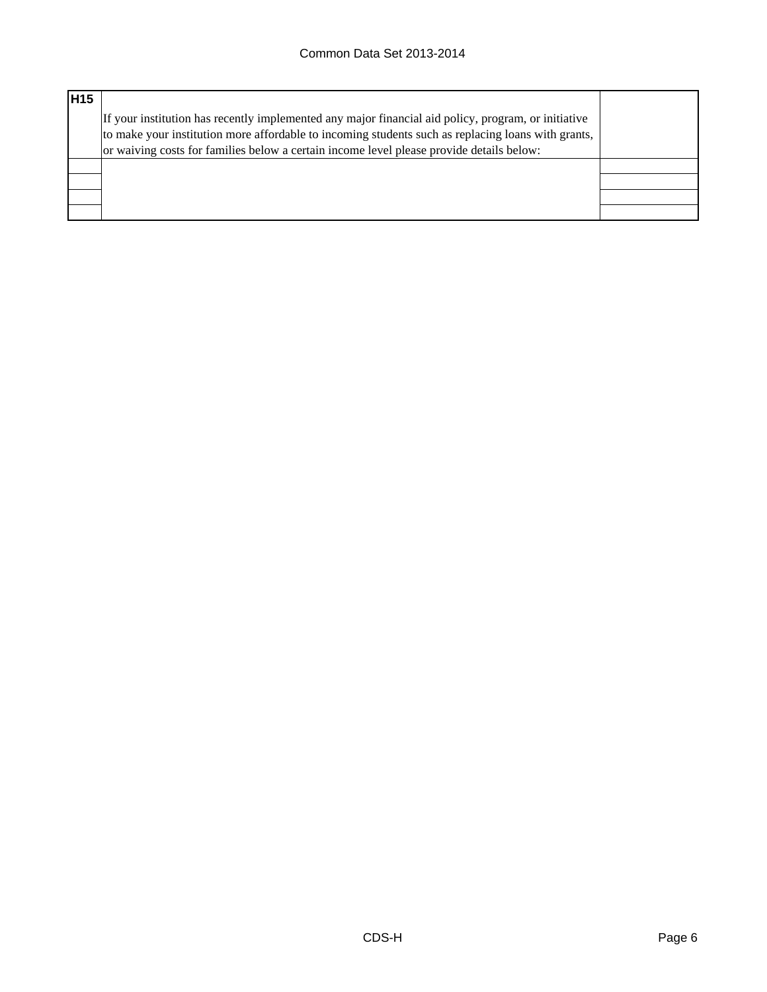| <b>H15</b> |                                                                                                                                                                                                                                                                                                       |  |
|------------|-------------------------------------------------------------------------------------------------------------------------------------------------------------------------------------------------------------------------------------------------------------------------------------------------------|--|
|            | If your institution has recently implemented any major financial aid policy, program, or initiative<br>to make your institution more affordable to incoming students such as replacing loans with grants,<br>or waiving costs for families below a certain income level please provide details below: |  |
|            |                                                                                                                                                                                                                                                                                                       |  |
|            |                                                                                                                                                                                                                                                                                                       |  |
|            |                                                                                                                                                                                                                                                                                                       |  |
|            |                                                                                                                                                                                                                                                                                                       |  |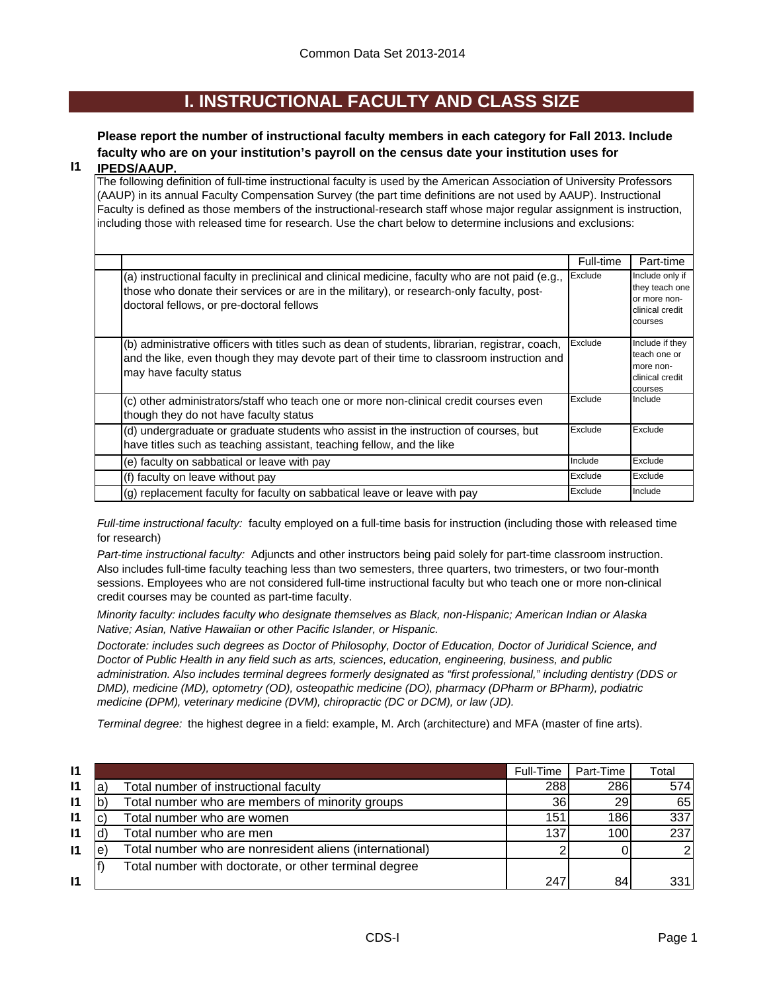### **I. INSTRUCTIONAL FACULTY AND CLASS SIZE**

### **Please report the number of instructional faculty members in each category for Fall 2013. Include faculty who are on your institution's payroll on the census date your institution uses for**

#### **I1 IPEDS/AAUP.**

The following definition of full-time instructional faculty is used by the American Association of University Professors (AAUP) in its annual Faculty Compensation Survey (the part time definitions are not used by AAUP). Instructional Faculty is defined as those members of the instructional-research staff whose major regular assignment is instruction, including those with released time for research. Use the chart below to determine inclusions and exclusions:

|                                                                                                                                                                                                                                          | Full-time | Part-time                                                                       |
|------------------------------------------------------------------------------------------------------------------------------------------------------------------------------------------------------------------------------------------|-----------|---------------------------------------------------------------------------------|
| (a) instructional faculty in preclinical and clinical medicine, faculty who are not paid (e.g.,<br>those who donate their services or are in the military), or research-only faculty, post-<br>doctoral fellows, or pre-doctoral fellows | Exclude   | Include only if<br>they teach one<br>or more non-<br>clinical credit<br>courses |
| (b) administrative officers with titles such as dean of students, librarian, registrar, coach,<br>and the like, even though they may devote part of their time to classroom instruction and<br>may have faculty status                   | Exclude   | Include if they<br>teach one or<br>more non-<br>clinical credit<br>courses      |
| (c) other administrators/staff who teach one or more non-clinical credit courses even<br>though they do not have faculty status                                                                                                          | Exclude   | Include                                                                         |
| (d) undergraduate or graduate students who assist in the instruction of courses, but<br>have titles such as teaching assistant, teaching fellow, and the like                                                                            | Exclude   | Exclude                                                                         |
| (e) faculty on sabbatical or leave with pay                                                                                                                                                                                              | Include   | Exclude                                                                         |
| (f) faculty on leave without pay                                                                                                                                                                                                         | Exclude   | Exclude                                                                         |
| (g) replacement faculty for faculty on sabbatical leave or leave with pay                                                                                                                                                                | Exclude   | Include                                                                         |

*Full-time instructional faculty:* faculty employed on a full-time basis for instruction (including those with released time for research)

*Part-time instructional faculty:* Adjuncts and other instructors being paid solely for part-time classroom instruction. Also includes full-time faculty teaching less than two semesters, three quarters, two trimesters, or two four-month sessions. Employees who are not considered full-time instructional faculty but who teach one or more non-clinical credit courses may be counted as part-time faculty.

*Minority faculty: includes faculty who designate themselves as Black, non-Hispanic; American Indian or Alaska Native; Asian, Native Hawaiian or other Pacific Islander, or Hispanic.* 

*Doctorate: includes such degrees as Doctor of Philosophy, Doctor of Education, Doctor of Juridical Science, and Doctor of Public Health in any field such as arts, sciences, education, engineering, business, and public administration. Also includes terminal degrees formerly designated as "first professional," including dentistry (DDS or DMD), medicine (MD), optometry (OD), osteopathic medicine (DO), pharmacy (DPharm or BPharm), podiatric medicine (DPM), veterinary medicine (DVM), chiropractic (DC or DCM), or law (JD).*

*Terminal degree:* the highest degree in a field: example, M. Arch (architecture) and MFA (master of fine arts).

| $\mathsf{I}$ |   |                                                         | Full-Time       | Part-Time        | Total         |
|--------------|---|---------------------------------------------------------|-----------------|------------------|---------------|
| $\mathsf{I}$ | a | Total number of instructional faculty                   | 288             | 286              | 574           |
| $\mathsf{I}$ |   | Total number who are members of minority groups         | 36 <sub>1</sub> | <b>29</b>        | 65            |
| $\mathsf{I}$ |   | Total number who are women                              | 151             | 186              | 337           |
| 11           |   | Total number who are men                                | 137             | 100 <sup>1</sup> | 237           |
| $\mathsf{I}$ | е | Total number who are nonresident aliens (international) |                 |                  | $\mathcal{D}$ |
|              |   | Total number with doctorate, or other terminal degree   |                 |                  |               |
| $\mathsf{I}$ |   |                                                         | 247             | 84               | 331           |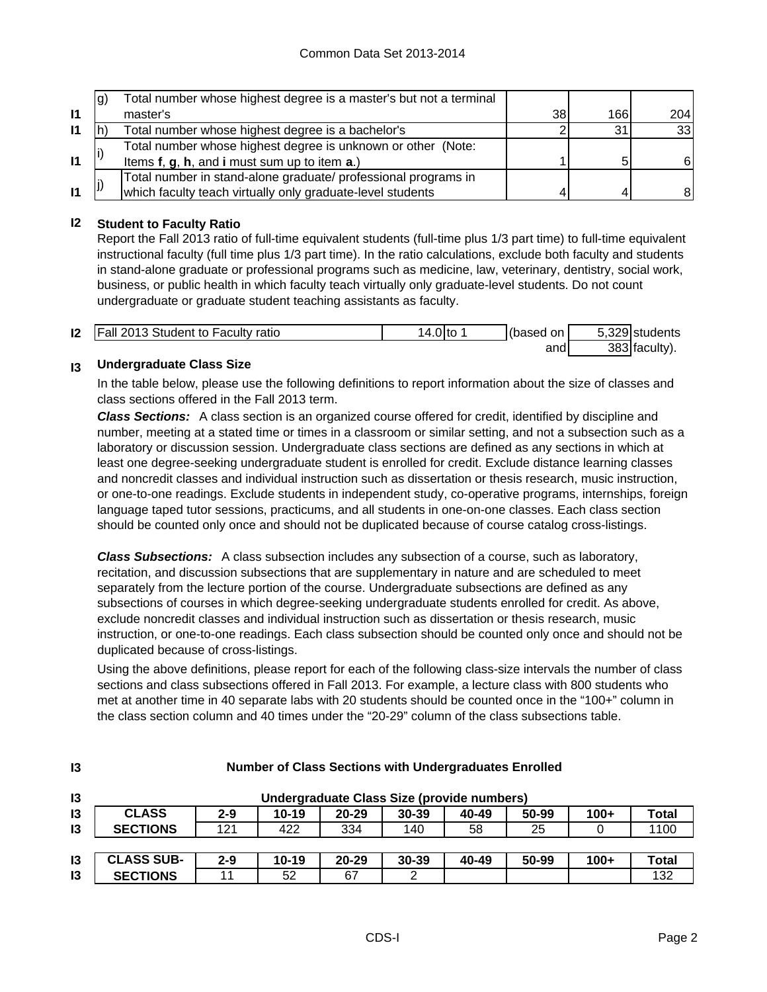|              | lg) | Total number whose highest degree is a master's but not a terminal |    |      |     |
|--------------|-----|--------------------------------------------------------------------|----|------|-----|
| $\mathbf{I}$ |     | master's                                                           | 38 | 166I | 204 |
| $\mathsf{I}$ |     | Total number whose highest degree is a bachelor's                  |    | 31   | 33  |
|              |     | Total number whose highest degree is unknown or other (Note:       |    |      |     |
| $\mathbf{I}$ |     | Items f, g, h, and i must sum up to item a.)                       |    | 5    | 61  |
|              |     | Total number in stand-alone graduate/ professional programs in     |    |      |     |
| $\mathbf{I}$ |     | which faculty teach virtually only graduate-level students         |    |      | 81  |

#### **I2 Student to Faculty Ratio**

Report the Fall 2013 ratio of full-time equivalent students (full-time plus 1/3 part time) to full-time equivalent instructional faculty (full time plus 1/3 part time). In the ratio calculations, exclude both faculty and students in stand-alone graduate or professional programs such as medicine, law, veterinary, dentistry, social work, business, or public health in which faculty teach virtually only graduate-level students. Do not count undergraduate or graduate student teaching assistants as faculty.

| 12 | <b>Fall 2013 Student to Faculty ratio</b> | 14.0 Ito | (based on | 5,329 students |
|----|-------------------------------------------|----------|-----------|----------------|
|    |                                           |          | and       | 383 faculty).  |

#### **I3 Undergraduate Class Size**

**I3**

In the table below, please use the following definitions to report information about the size of classes and class sections offered in the Fall 2013 term.

*Class Sections:* A class section is an organized course offered for credit, identified by discipline and number, meeting at a stated time or times in a classroom or similar setting, and not a subsection such as a laboratory or discussion session. Undergraduate class sections are defined as any sections in which at least one degree-seeking undergraduate student is enrolled for credit. Exclude distance learning classes and noncredit classes and individual instruction such as dissertation or thesis research, music instruction, or one-to-one readings. Exclude students in independent study, co-operative programs, internships, foreign language taped tutor sessions, practicums, and all students in one-on-one classes. Each class section should be counted only once and should not be duplicated because of course catalog cross-listings.

*Class Subsections:* A class subsection includes any subsection of a course, such as laboratory, recitation, and discussion subsections that are supplementary in nature and are scheduled to meet separately from the lecture portion of the course. Undergraduate subsections are defined as any subsections of courses in which degree-seeking undergraduate students enrolled for credit. As above, exclude noncredit classes and individual instruction such as dissertation or thesis research, music instruction, or one-to-one readings. Each class subsection should be counted only once and should not be duplicated because of cross-listings.

Using the above definitions, please report for each of the following class-size intervals the number of class sections and class subsections offered in Fall 2013. For example, a lecture class with 800 students who met at another time in 40 separate labs with 20 students should be counted once in the "100+" column in the class section column and 40 times under the "20-29" column of the class subsections table.

| $\mathsf{I}3$  | Undergraduate Class Size (provide numbers) |         |           |           |           |       |       |        |              |
|----------------|--------------------------------------------|---------|-----------|-----------|-----------|-------|-------|--------|--------------|
| 13             | <b>CLASS</b>                               | $2 - 9$ | $10 - 19$ | $20 - 29$ | $30 - 39$ | 40-49 | 50-99 | $100+$ | Total        |
| $\mathsf{I}3$  | <b>SECTIONS</b>                            | 121     | 422       | 334       | 140       | 58    | 25    |        | 1100         |
|                |                                            |         |           |           |           |       |       |        |              |
| $\overline{3}$ | <b>CLASS SUB-</b>                          | $2 - 9$ | $10 - 19$ | $20 - 29$ | $30 - 39$ | 40-49 | 50-99 | $100+$ | <b>Total</b> |
| 13             | <b>SECTIONS</b>                            | 11      | 52        | 67        | ⌒         |       |       |        | 132          |

#### **Number of Class Sections with Undergraduates Enrolled**